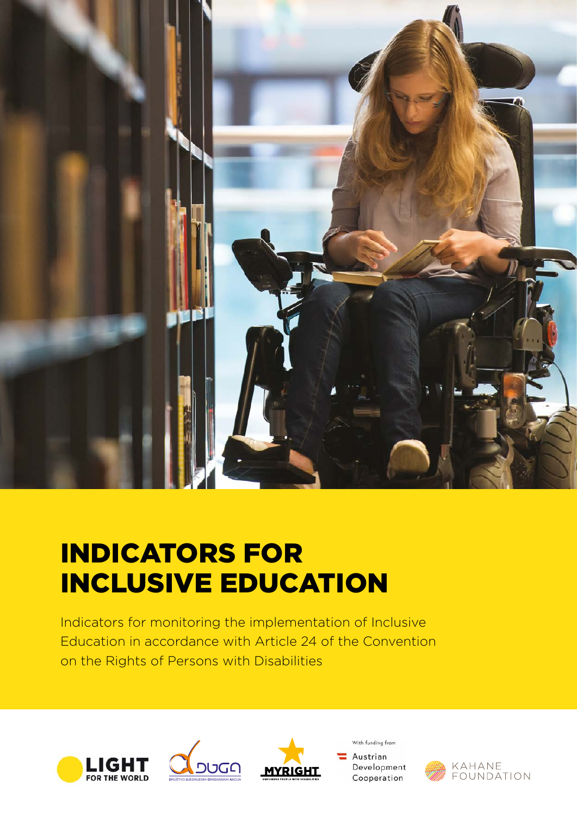

# INDICATORS FOR INCLUSIVE EDUCATION

Indicators for monitoring the implementation of Inclusive Education in accordance with Article 24 of the Convention on the Rights of Persons with Disabilities







With funding from Austrian Development Cooperation

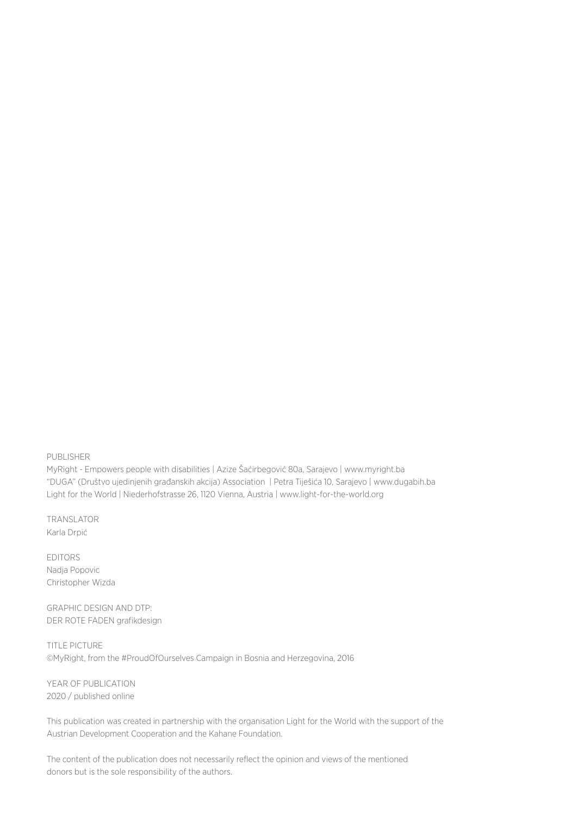PUBLISHER

MyRight - Empowers people with disabilities | Azize Šaćirbegović 80a, Sarajevo | [www.myright.ba](http://www.myright.ba) "DUGA" (Društvo ujedinjenih građanskih akcija) Association | Petra Tiješića 10, Sarajevo | [www.dugabih.ba](http://www.dugabih.ba) Light for the World | Niederhofstrasse 26, 1120 Vienna, Austria | [www.light-for-the-world.org](http://www.light-for-the-world.org)

TRANSLATOR Karla Drpić

EDITORS Nadja Popovic Christopher Wizda

GRAPHIC DESIGN AND DTP: DER ROTE FADEN grafikdesign

TITLE PICTURE ©MyRight, from the #ProudOfOurselves Campaign in Bosnia and Herzegovina, 2016

YEAR OF PUBLICATION 2020 / published online

This publication was created in partnership with the organisation Light for the World with the support of the Austrian Development Cooperation and the Kahane Foundation.

The content of the publication does not necessarily reflect the opinion and views of the mentioned donors but is the sole responsibility of the authors.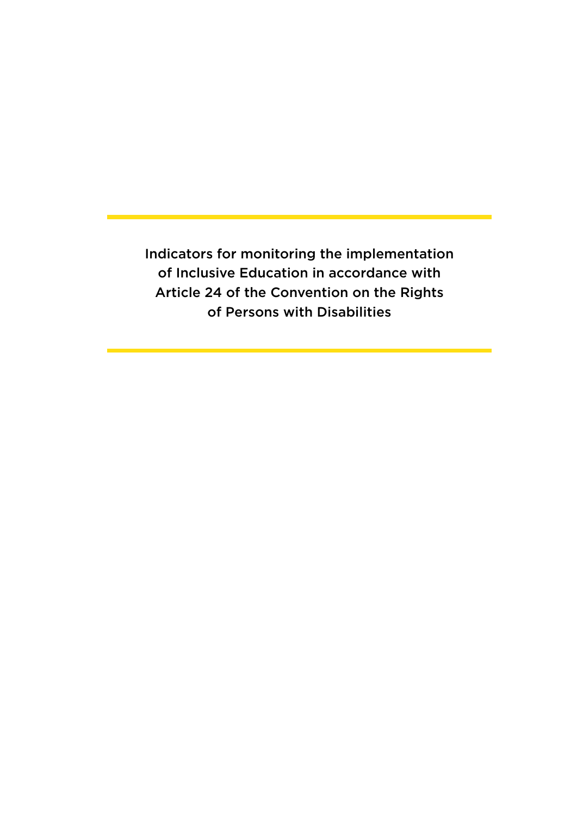Indicators for monitoring the implementation of Inclusive Education in accordance with Article 24 of the Convention on the Rights of Persons with Disabilities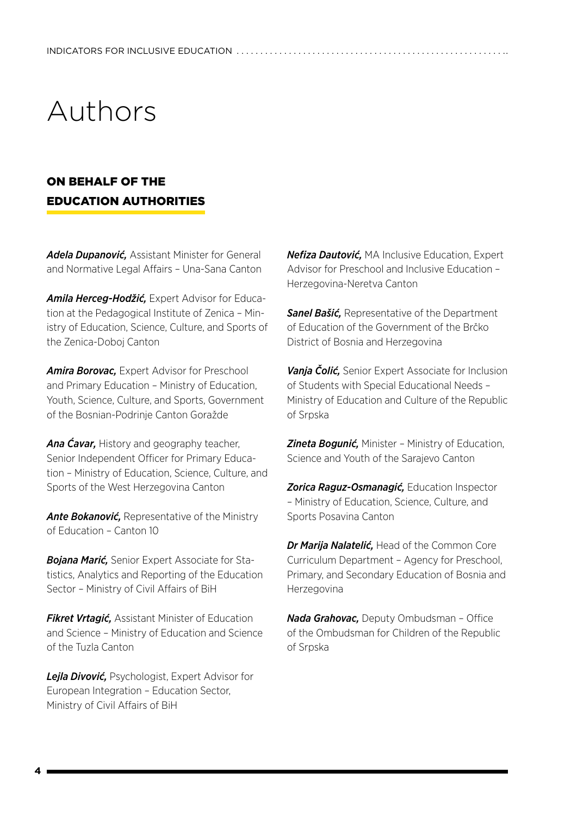# Authors

## ON BEHALF OF THE EDUCATION AUTHORITIES

*Adela Dupanović,* Assistant Minister for General and Normative Legal Affairs – Una-Sana Canton

*Amila Herceg-Hodžić,* Expert Advisor for Education at the Pedagogical Institute of Zenica – Ministry of Education, Science, Culture, and Sports of the Zenica-Doboj Canton

*Amira Borovac,* Expert Advisor for Preschool and Primary Education – Ministry of Education, Youth, Science, Culture, and Sports, Government of the Bosnian-Podrinje Canton Goražde

*Ana Ćavar,* History and geography teacher, Senior Independent Officer for Primary Education – Ministry of Education, Science, Culture, and Sports of the West Herzegovina Canton

*Ante Bokanović,* Representative of the Ministry of Education – Canton 10

*Bojana Marić,* Senior Expert Associate for Statistics, Analytics and Reporting of the Education Sector – Ministry of Civil Affairs of BiH

*Fikret Vrtagić,* Assistant Minister of Education and Science – Ministry of Education and Science of the Tuzla Canton

*Lejla Divović,* Psychologist, Expert Advisor for European Integration – Education Sector, Ministry of Civil Affairs of BiH

*Nefiza Dautović,* MA Inclusive Education, Expert Advisor for Preschool and Inclusive Education – Herzegovina-Neretva Canton

*Sanel Bašić,* Representative of the Department of Education of the Government of the Brčko District of Bosnia and Herzegovina

*Vanja Čolić,* Senior Expert Associate for Inclusion of Students with Special Educational Needs – Ministry of Education and Culture of the Republic of Srpska

*Zineta Bogunić,* Minister – Ministry of Education, Science and Youth of the Sarajevo Canton

*Zorica Raguz-Osmanagić,* Education Inspector – Ministry of Education, Science, Culture, and Sports Posavina Canton

*Dr Marija Nalatelić,* Head of the Common Core Curriculum Department – Agency for Preschool, Primary, and Secondary Education of Bosnia and Herzegovina

*Nada Grahovac,* Deputy Ombudsman – Office of the Ombudsman for Children of the Republic of Srpska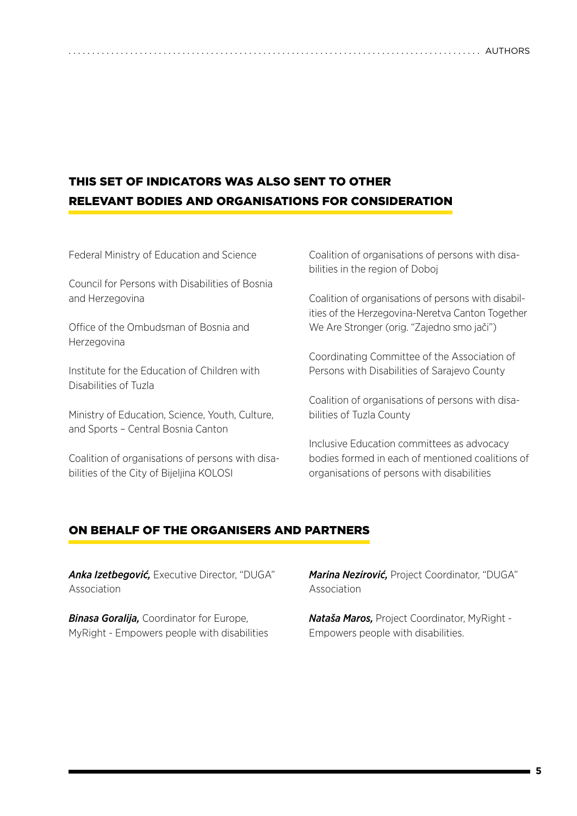## THIS SET OF INDICATORS WAS ALSO SENT TO OTHER RELEVANT BODIES AND ORGANISATIONS FOR CONSIDERATION

Federal Ministry of Education and Science

Council for Persons with Disabilities of Bosnia and Herzegovina

Office of the Ombudsman of Bosnia and Herzegovina

Institute for the Education of Children with Disabilities of Tuzla

Ministry of Education, Science, Youth, Culture, and Sports – Central Bosnia Canton

Coalition of organisations of persons with disabilities of the City of Bijeljina KOLOSI

Coalition of organisations of persons with disabilities in the region of Doboj

Coalition of organisations of persons with disabilities of the Herzegovina-Neretva Canton Together We Are Stronger (orig. "Zajedno smo jači")

Coordinating Committee of the Association of Persons with Disabilities of Sarajevo County

Coalition of organisations of persons with disabilities of Tuzla County

Inclusive Education committees as advocacy bodies formed in each of mentioned coalitions of organisations of persons with disabilities

### ON BEHALF OF THE ORGANISERS AND PARTNERS

*Anka Izetbegović,* Executive Director, "DUGA" Association

*Binasa Goralija,* Coordinator for Europe, MyRight - Empowers people with disabilities *Marina Nezirović,* Project Coordinator, "DUGA" Association

*Nataša Maros,* Project Coordinator, MyRight - Empowers people with disabilities.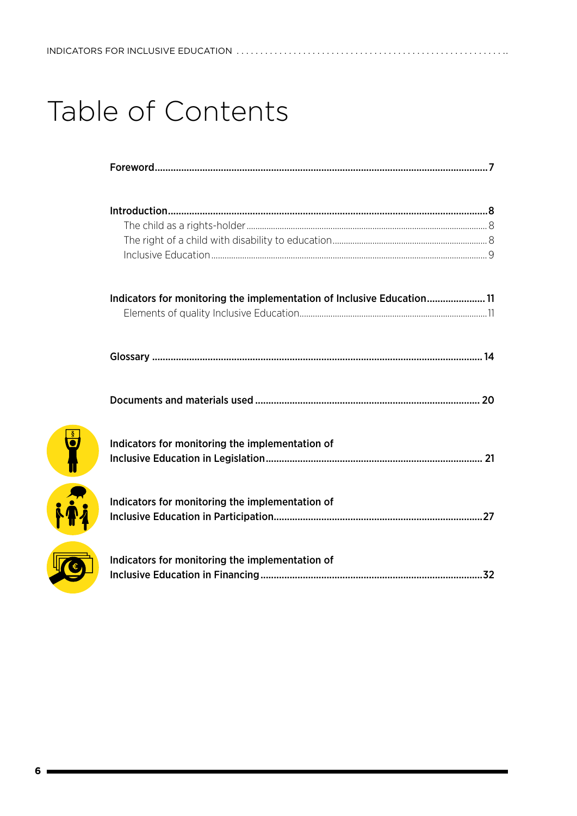# Table of Contents

| Indicators for monitoring the implementation of Inclusive Education 11 |  |
|------------------------------------------------------------------------|--|
|                                                                        |  |
|                                                                        |  |
|                                                                        |  |
| Indicators for monitoring the implementation of                        |  |
|                                                                        |  |
| Indicators for monitoring the implementation of                        |  |
|                                                                        |  |
| Indicators for monitoring the implementation of                        |  |
|                                                                        |  |

 $\frac{8}{9}$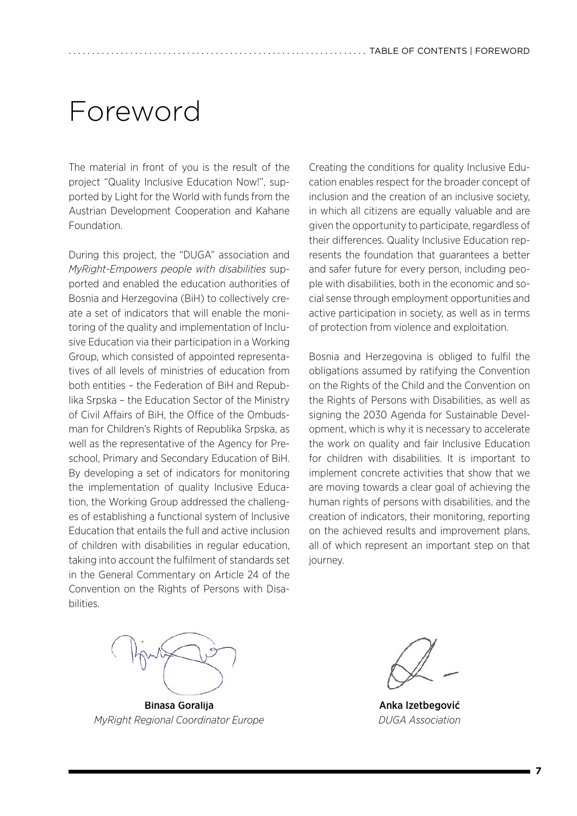# <span id="page-6-0"></span>Foreword

The material in front of you is the result of the project "Quality Inclusive Education Now!", supported by Light for the World with funds from the Austrian Development Cooperation and Kahane Foundation.

During this project, the "DUGA" association and *MyRight-Empowers people with disabilities* supported and enabled the education authorities of Bosnia and Herzegovina (BiH) to collectively create a set of indicators that will enable the monitoring of the quality and implementation of Inclusive Education via their participation in a Working Group, which consisted of appointed representatives of all levels of ministries of education from both entities – the Federation of BiH and Republika Srpska – the Education Sector of the Ministry of Civil Affairs of BiH, the Office of the Ombudsman for Children's Rights of Republika Srpska, as well as the representative of the Agency for Preschool, Primary and Secondary Education of BiH. By developing a set of indicators for monitoring the implementation of quality Inclusive Education, the Working Group addressed the challenges of establishing a functional system of Inclusive Education that entails the full and active inclusion of children with disabilities in regular education, taking into account the fulfilment of standards set in the General Commentary on Article 24 of the Convention on the Rights of Persons with Disabilities.

Creating the conditions for quality Inclusive Education enables respect for the broader concept of inclusion and the creation of an inclusive society, in which all citizens are equally valuable and are given the opportunity to participate, regardless of their differences. Quality Inclusive Education represents the foundation that guarantees a better and safer future for every person, including people with disabilities, both in the economic and social sense through employment opportunities and active participation in society, as well as in terms of protection from violence and exploitation.

Bosnia and Herzegovina is obliged to fulfil the obligations assumed by ratifying the Convention on the Rights of the Child and the Convention on the Rights of Persons with Disabilities, as well as signing the 2030 Agenda for Sustainable Development, which is why it is necessary to accelerate the work on quality and fair Inclusive Education for children with disabilities. It is important to implement concrete activities that show that we are moving towards a clear goal of achieving the human rights of persons with disabilities, and the creation of indicators, their monitoring, reporting on the achieved results and improvement plans, all of which represent an important step on that journey.



Binasa Goralija *MyRight Regional Coordinator Europe*

Anka Izetbegović *DUGA Association*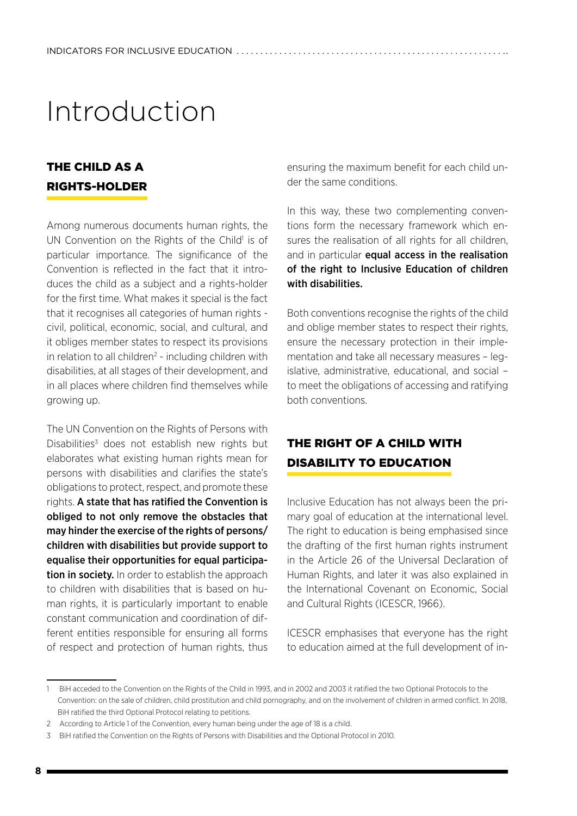# <span id="page-7-0"></span>Introduction

## THE CHILD AS A RIGHTS-HOLDER

Among numerous documents human rights, the UN Convention on the Rights of the Child<sup>1</sup> is of particular importance. The significance of the Convention is reflected in the fact that it introduces the child as a subject and a rights-holder for the first time. What makes it special is the fact that it recognises all categories of human rights civil, political, economic, social, and cultural, and it obliges member states to respect its provisions in relation to all children<sup>2</sup> - including children with disabilities, at all stages of their development, and in all places where children find themselves while growing up.

The UN Convention on the Rights of Persons with Disabilities<sup>3</sup> does not establish new rights but elaborates what existing human rights mean for persons with disabilities and clarifies the state's obligations to protect, respect, and promote these rights. A state that has ratified the Convention is obliged to not only remove the obstacles that may hinder the exercise of the rights of persons/ children with disabilities but provide support to equalise their opportunities for equal participation in society. In order to establish the approach to children with disabilities that is based on human rights, it is particularly important to enable constant communication and coordination of different entities responsible for ensuring all forms of respect and protection of human rights, thus

ensuring the maximum benefit for each child under the same conditions.

In this way, these two complementing conventions form the necessary framework which ensures the realisation of all rights for all children, and in particular **equal access in the realisation** of the right to Inclusive Education of children with disabilities.

Both conventions recognise the rights of the child and oblige member states to respect their rights, ensure the necessary protection in their implementation and take all necessary measures – legislative, administrative, educational, and social – to meet the obligations of accessing and ratifying both conventions.

# THE RIGHT OF A CHILD WITH DISABILITY TO EDUCATION

Inclusive Education has not always been the primary goal of education at the international level. The right to education is being emphasised since the drafting of the first human rights instrument in the Article 26 of the Universal Declaration of Human Rights, and later it was also explained in the International Covenant on Economic, Social and Cultural Rights (ICESCR, 1966).

ICESCR emphasises that everyone has the right to education aimed at the full development of in-

<sup>1</sup> BiH acceded to the Convention on the Rights of the Child in 1993, and in 2002 and 2003 it ratified the two Optional Protocols to the Convention: on the sale of children, child prostitution and child pornography, and on the involvement of children in armed conflict. In 2018, BiH ratified the third Optional Protocol relating to petitions.

<sup>2</sup> According to Article 1 of the Convention, every human being under the age of 18 is a child.

<sup>3</sup> BiH ratified the Convention on the Rights of Persons with Disabilities and the Optional Protocol in 2010.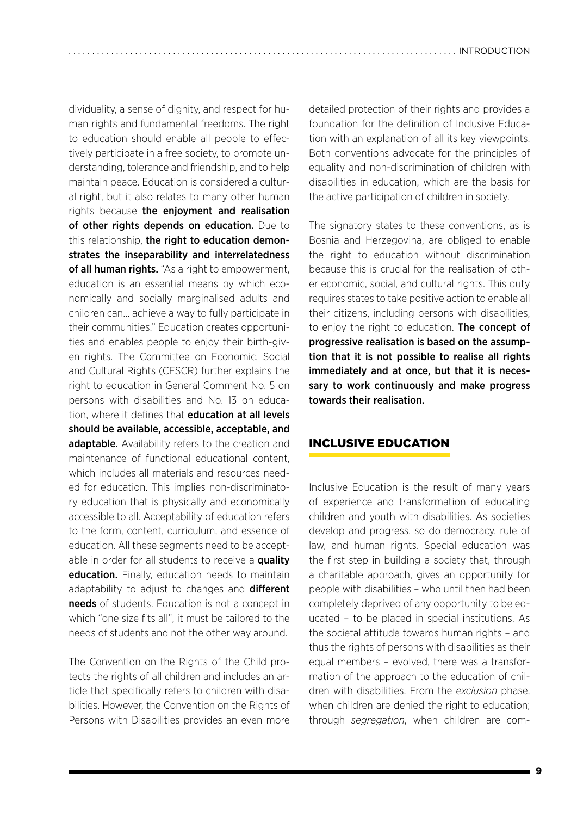<span id="page-8-0"></span>dividuality, a sense of dignity, and respect for human rights and fundamental freedoms. The right to education should enable all people to effectively participate in a free society, to promote understanding, tolerance and friendship, and to help maintain peace. Education is considered a cultural right, but it also relates to many other human rights because the enjoyment and realisation of other rights depends on education. Due to this relationship, the right to education demonstrates the inseparability and interrelatedness of all human rights. "As a right to empowerment, education is an essential means by which economically and socially marginalised adults and children can… achieve a way to fully participate in their communities." Education creates opportunities and enables people to enjoy their birth-given rights. The Committee on Economic, Social and Cultural Rights (CESCR) further explains the right to education in General Comment No. 5 on persons with disabilities and No. 13 on education, where it defines that **education at all levels** should be available, accessible, acceptable, and adaptable. Availability refers to the creation and maintenance of functional educational content, which includes all materials and resources needed for education. This implies non-discriminatory education that is physically and economically accessible to all. Acceptability of education refers to the form, content, curriculum, and essence of education. All these segments need to be acceptable in order for all students to receive a **quality** education. Finally, education needs to maintain adaptability to adjust to changes and different needs of students. Education is not a concept in which "one size fits all", it must be tailored to the needs of students and not the other way around.

The Convention on the Rights of the Child protects the rights of all children and includes an article that specifically refers to children with disabilities. However, the Convention on the Rights of Persons with Disabilities provides an even more detailed protection of their rights and provides a foundation for the definition of Inclusive Education with an explanation of all its key viewpoints. Both conventions advocate for the principles of equality and non-discrimination of children with disabilities in education, which are the basis for the active participation of children in society.

The signatory states to these conventions, as is Bosnia and Herzegovina, are obliged to enable the right to education without discrimination because this is crucial for the realisation of other economic, social, and cultural rights. This duty requires states to take positive action to enable all their citizens, including persons with disabilities, to enjoy the right to education. The concept of progressive realisation is based on the assumption that it is not possible to realise all rights immediately and at once, but that it is necessary to work continuously and make progress towards their realisation.

#### INCLUSIVE EDUCATION

Inclusive Education is the result of many years of experience and transformation of educating children and youth with disabilities. As societies develop and progress, so do democracy, rule of law, and human rights. Special education was the first step in building a society that, through a charitable approach, gives an opportunity for people with disabilities – who until then had been completely deprived of any opportunity to be educated – to be placed in special institutions. As the societal attitude towards human rights – and thus the rights of persons with disabilities as their equal members – evolved, there was a transformation of the approach to the education of children with disabilities. From the *exclusion* phase, when children are denied the right to education; through *segregation*, when children are com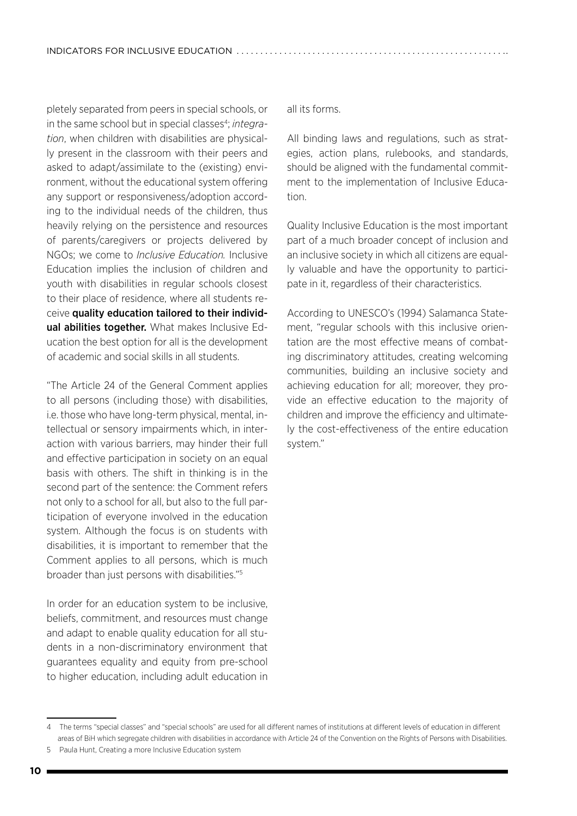pletely separated from peers in special schools, or in the same school but in special classes<sup>4</sup>; *integration*, when children with disabilities are physically present in the classroom with their peers and asked to adapt/assimilate to the (existing) environment, without the educational system offering any support or responsiveness/adoption according to the individual needs of the children, thus heavily relying on the persistence and resources of parents/caregivers or projects delivered by NGOs; we come to *Inclusive Education.* Inclusive Education implies the inclusion of children and youth with disabilities in regular schools closest to their place of residence, where all students receive quality education tailored to their individual abilities together. What makes Inclusive Education the best option for all is the development of academic and social skills in all students.

"The Article 24 of the General Comment applies to all persons (including those) with disabilities, i.e. those who have long-term physical, mental, intellectual or sensory impairments which, in interaction with various barriers, may hinder their full and effective participation in society on an equal basis with others. The shift in thinking is in the second part of the sentence: the Comment refers not only to a school for all, but also to the full participation of everyone involved in the education system. Although the focus is on students with disabilities, it is important to remember that the Comment applies to all persons, which is much broader than just persons with disabilities."5

In order for an education system to be inclusive, beliefs, commitment, and resources must change and adapt to enable quality education for all students in a non-discriminatory environment that guarantees equality and equity from pre-school to higher education, including adult education in all its forms.

All binding laws and regulations, such as strategies, action plans, rulebooks, and standards, should be aligned with the fundamental commitment to the implementation of Inclusive Education.

Quality Inclusive Education is the most important part of a much broader concept of inclusion and an inclusive society in which all citizens are equally valuable and have the opportunity to participate in it, regardless of their characteristics.

According to UNESCO's (1994) Salamanca Statement, "regular schools with this inclusive orientation are the most effective means of combating discriminatory attitudes, creating welcoming communities, building an inclusive society and achieving education for all; moreover, they provide an effective education to the majority of children and improve the efficiency and ultimately the cost-effectiveness of the entire education system."

<sup>4</sup> The terms "special classes" and "special schools" are used for all different names of institutions at different levels of education in different areas of BiH which segregate children with disabilities in accordance with Article 24 of the Convention on the Rights of Persons with Disabilities.

<sup>5</sup> Paula Hunt, Creating a more Inclusive Education system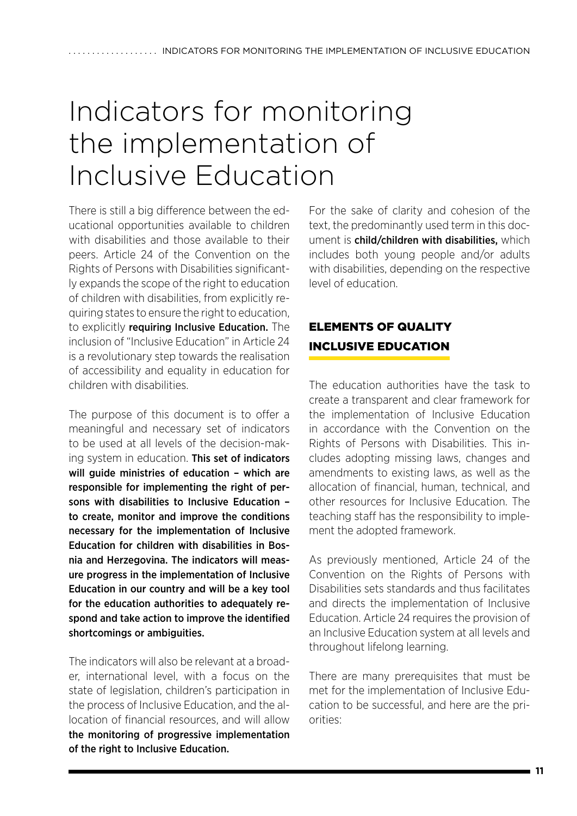# <span id="page-10-0"></span>Indicators for monitoring the implementation of Inclusive Education

There is still a big difference between the educational opportunities available to children with disabilities and those available to their peers. Article 24 of the Convention on the Rights of Persons with Disabilities significantly expands the scope of the right to education of children with disabilities, from explicitly requiring states to ensure the right to education, to explicitly requiring Inclusive Education. The inclusion of "Inclusive Education" in Article 24 is a revolutionary step towards the realisation of accessibility and equality in education for children with disabilities.

The purpose of this document is to offer a meaningful and necessary set of indicators to be used at all levels of the decision-making system in education. This set of indicators will quide ministries of education - which are responsible for implementing the right of persons with disabilities to Inclusive Education – to create, monitor and improve the conditions necessary for the implementation of Inclusive Education for children with disabilities in Bosnia and Herzegovina. The indicators will measure progress in the implementation of Inclusive Education in our country and will be a key tool for the education authorities to adequately respond and take action to improve the identified shortcomings or ambiguities.

The indicators will also be relevant at a broader, international level, with a focus on the state of legislation, children's participation in the process of Inclusive Education, and the allocation of financial resources, and will allow the monitoring of progressive implementation of the right to Inclusive Education.

For the sake of clarity and cohesion of the text, the predominantly used term in this document is child/children with disabilities, which includes both young people and/or adults with disabilities, depending on the respective level of education.

# ELEMENTS OF QUALITY INCLUSIVE EDUCATION

The education authorities have the task to create a transparent and clear framework for the implementation of Inclusive Education in accordance with the Convention on the Rights of Persons with Disabilities. This includes adopting missing laws, changes and amendments to existing laws, as well as the allocation of financial, human, technical, and other resources for Inclusive Education. The teaching staff has the responsibility to implement the adopted framework.

As previously mentioned, Article 24 of the Convention on the Rights of Persons with Disabilities sets standards and thus facilitates and directs the implementation of Inclusive Education. Article 24 requires the provision of an Inclusive Education system at all levels and throughout lifelong learning.

There are many prerequisites that must be met for the implementation of Inclusive Education to be successful, and here are the priorities: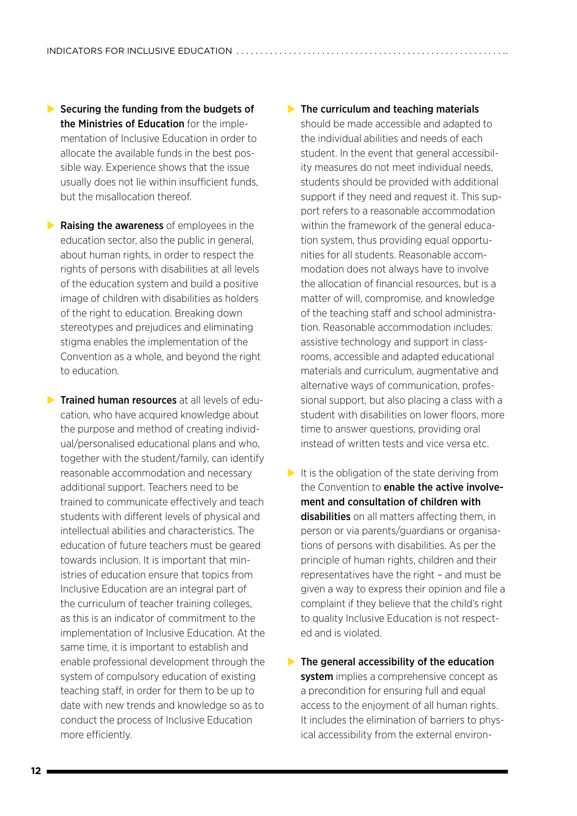$\blacktriangleright$  Securing the funding from the budgets of the Ministries of Education for the implementation of Inclusive Education in order to allocate the available funds in the best possible way. Experience shows that the issue usually does not lie within insufficient funds, but the misallocation thereof.

 $\blacktriangleright$  Raising the awareness of employees in the education sector, also the public in general, about human rights, in order to respect the rights of persons with disabilities at all levels of the education system and build a positive image of children with disabilities as holders of the right to education. Breaking down stereotypes and prejudices and eliminating stigma enables the implementation of the Convention as a whole, and beyond the right to education.

 $\blacktriangleright$  Trained human resources at all levels of education, who have acquired knowledge about the purpose and method of creating individual/personalised educational plans and who, together with the student/family, can identify reasonable accommodation and necessary additional support. Teachers need to be trained to communicate effectively and teach students with different levels of physical and intellectual abilities and characteristics. The education of future teachers must be geared towards inclusion. It is important that ministries of education ensure that topics from Inclusive Education are an integral part of the curriculum of teacher training colleges, as this is an indicator of commitment to the implementation of Inclusive Education. At the same time, it is important to establish and enable professional development through the system of compulsory education of existing teaching staff, in order for them to be up to date with new trends and knowledge so as to conduct the process of Inclusive Education more efficiently.

#### $\blacktriangleright$  The curriculum and teaching materials

should be made accessible and adapted to the individual abilities and needs of each student. In the event that general accessibility measures do not meet individual needs, students should be provided with additional support if they need and request it. This support refers to a reasonable accommodation within the framework of the general education system, thus providing equal opportunities for all students. Reasonable accommodation does not always have to involve the allocation of financial resources, but is a matter of will, compromise, and knowledge of the teaching staff and school administration. Reasonable accommodation includes: assistive technology and support in classrooms, accessible and adapted educational materials and curriculum, augmentative and alternative ways of communication, professional support, but also placing a class with a student with disabilities on lower floors, more time to answer questions, providing oral instead of written tests and vice versa etc.

- $\blacktriangleright$  It is the obligation of the state deriving from the Convention to **enable the active involve**ment and consultation of children with disabilities on all matters affecting them, in person or via parents/guardians or organisations of persons with disabilities. As per the principle of human rights, children and their representatives have the right – and must be given a way to express their opinion and file a complaint if they believe that the child's right to quality Inclusive Education is not respected and is violated.
- $\blacktriangleright$  The general accessibility of the education system implies a comprehensive concept as a precondition for ensuring full and equal access to the enjoyment of all human rights. It includes the elimination of barriers to physical accessibility from the external environ-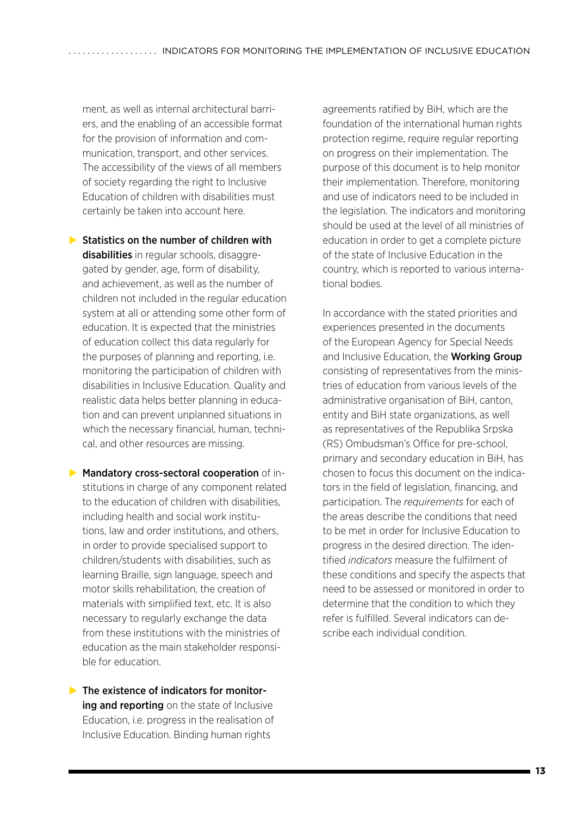ment, as well as internal architectural barriers, and the enabling of an accessible format for the provision of information and communication, transport, and other services. The accessibility of the views of all members of society regarding the right to Inclusive Education of children with disabilities must certainly be taken into account here.

 $\triangleright$  Statistics on the number of children with **disabilities** in regular schools, disaggregated by gender, age, form of disability, and achievement, as well as the number of children not included in the regular education system at all or attending some other form of education. It is expected that the ministries of education collect this data regularly for the purposes of planning and reporting, i.e. monitoring the participation of children with disabilities in Inclusive Education. Quality and realistic data helps better planning in education and can prevent unplanned situations in which the necessary financial, human, technical, and other resources are missing.

- $\blacktriangleright$  Mandatory cross-sectoral cooperation of institutions in charge of any component related to the education of children with disabilities, including health and social work institutions, law and order institutions, and others, in order to provide specialised support to children/students with disabilities, such as learning Braille, sign language, speech and motor skills rehabilitation, the creation of materials with simplified text, etc. It is also necessary to regularly exchange the data from these institutions with the ministries of education as the main stakeholder responsible for education.
- $\blacktriangleright$  The existence of indicators for monitoring and reporting on the state of Inclusive Education, i.e. progress in the realisation of Inclusive Education. Binding human rights

agreements ratified by BiH, which are the foundation of the international human rights protection regime, require regular reporting on progress on their implementation. The purpose of this document is to help monitor their implementation. Therefore, monitoring and use of indicators need to be included in the legislation. The indicators and monitoring should be used at the level of all ministries of education in order to get a complete picture of the state of Inclusive Education in the country, which is reported to various international bodies.

In accordance with the stated priorities and experiences presented in the documents of the European Agency for Special Needs and Inclusive Education, the Working Group consisting of representatives from the ministries of education from various levels of the administrative organisation of BiH, canton, entity and BiH state organizations, as well as representatives of the Republika Srpska (RS) Ombudsman's Office for pre-school, primary and secondary education in BiH, has chosen to focus this document on the indicators in the field of legislation, financing, and participation. The *requirements* for each of the areas describe the conditions that need to be met in order for Inclusive Education to progress in the desired direction. The identified *indicators* measure the fulfilment of these conditions and specify the aspects that need to be assessed or monitored in order to determine that the condition to which they refer is fulfilled. Several indicators can describe each individual condition.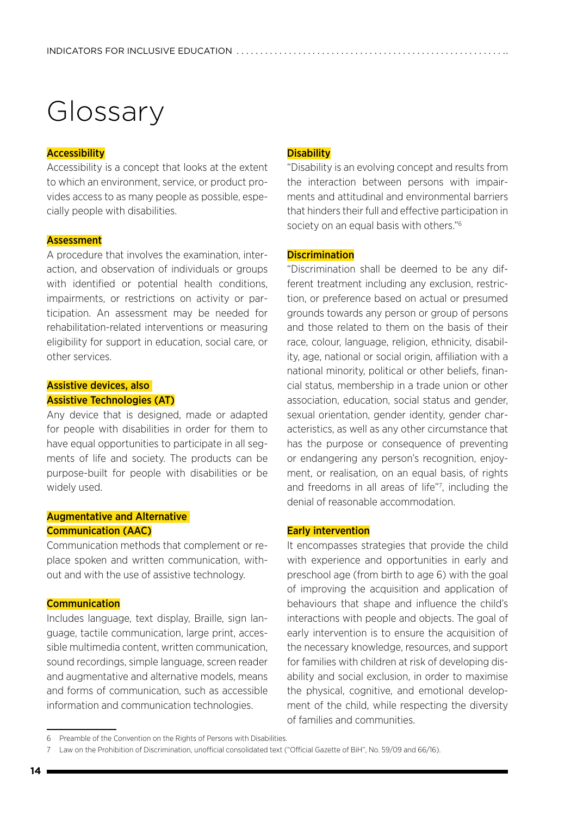# <span id="page-13-0"></span>Glossary

#### **Accessibility**

Accessibility is a concept that looks at the extent to which an environment, service, or product provides access to as many people as possible, especially people with disabilities.

#### **Assessment**

A procedure that involves the examination, interaction, and observation of individuals or groups with identified or potential health conditions, impairments, or restrictions on activity or participation. An assessment may be needed for rehabilitation-related interventions or measuring eligibility for support in education, social care, or other services.

#### Assistive devices, also Assistive Technologies (AT)

Any device that is designed, made or adapted for people with disabilities in order for them to have equal opportunities to participate in all segments of life and society. The products can be purpose-built for people with disabilities or be widely used.

#### Augmentative and Alternative Communication (AAC)

Communication methods that complement or replace spoken and written communication, without and with the use of assistive technology.

#### **Communication**

Includes language, text display, Braille, sign language, tactile communication, large print, accessible multimedia content, written communication, sound recordings, simple language, screen reader and augmentative and alternative models, means and forms of communication, such as accessible information and communication technologies.

#### **Disability**

"Disability is an evolving concept and results from the interaction between persons with impairments and attitudinal and environmental barriers that hinders their full and effective participation in society on an equal basis with others."<sup>6</sup>

#### **Discrimination**

"Discrimination shall be deemed to be any different treatment including any exclusion, restriction, or preference based on actual or presumed grounds towards any person or group of persons and those related to them on the basis of their race, colour, language, religion, ethnicity, disability, age, national or social origin, affiliation with a national minority, political or other beliefs, financial status, membership in a trade union or other association, education, social status and gender, sexual orientation, gender identity, gender characteristics, as well as any other circumstance that has the purpose or consequence of preventing or endangering any person's recognition, enjoyment, or realisation, on an equal basis, of rights and freedoms in all areas of life"7 , including the denial of reasonable accommodation.

#### Early intervention

It encompasses strategies that provide the child with experience and opportunities in early and preschool age (from birth to age 6) with the goal of improving the acquisition and application of behaviours that shape and influence the child's interactions with people and objects. The goal of early intervention is to ensure the acquisition of the necessary knowledge, resources, and support for families with children at risk of developing disability and social exclusion, in order to maximise the physical, cognitive, and emotional development of the child, while respecting the diversity of families and communities.

<sup>6</sup> Preamble of the Convention on the Rights of Persons with Disabilities.

<sup>7</sup> Law on the Prohibition of Discrimination, unofficial consolidated text ("Official Gazette of BiH", No. 59/09 and 66/16).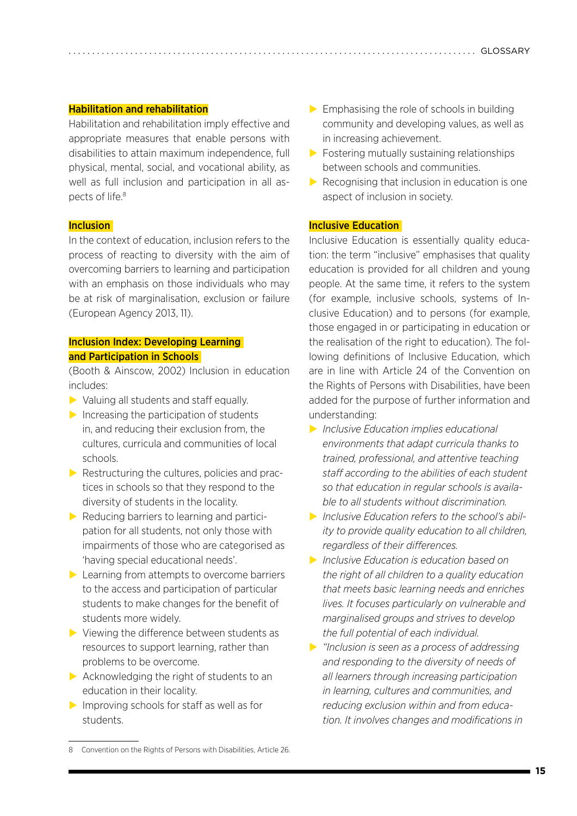#### Habilitation and rehabilitation

Habilitation and rehabilitation imply effective and appropriate measures that enable persons with disabilities to attain maximum independence, full physical, mental, social, and vocational ability, as well as full inclusion and participation in all aspects of life.8

#### **Inclusion**

In the context of education, inclusion refers to the process of reacting to diversity with the aim of overcoming barriers to learning and participation with an emphasis on those individuals who may be at risk of marginalisation, exclusion or failure (European Agency 2013, 11).

#### Inclusion Index: Developing Learning and Participation in Schools

(Booth & Ainscow, 2002) Inclusion in education includes:

- $\triangleright$  Valuing all students and staff equally.
- $\triangleright$  Increasing the participation of students in, and reducing their exclusion from, the cultures, curricula and communities of local schools.
- $\triangleright$  Restructuring the cultures, policies and practices in schools so that they respond to the diversity of students in the locality.
- $\triangleright$  Reducing barriers to learning and participation for all students, not only those with impairments of those who are categorised as 'having special educational needs'.
- $\blacktriangleright$  Learning from attempts to overcome barriers to the access and participation of particular students to make changes for the benefit of students more widely.
- $\triangleright$  Viewing the difference between students as resources to support learning, rather than problems to be overcome.
- $\triangleright$  Acknowledging the right of students to an education in their locality.
- $\triangleright$  Improving schools for staff as well as for students.
- $\triangleright$  Fostering mutually sustaining relationships between schools and communities.
- $\triangleright$  Recognising that inclusion in education is one aspect of inclusion in society.

#### Inclusive Education

Inclusive Education is essentially quality education: the term "inclusive" emphasises that quality education is provided for all children and young people. At the same time, it refers to the system (for example, inclusive schools, systems of Inclusive Education) and to persons (for example, those engaged in or participating in education or the realisation of the right to education). The following definitions of Inclusive Education, which are in line with Article 24 of the Convention on the Rights of Persons with Disabilities, have been added for the purpose of further information and understanding:

- X *Inclusive Education implies educational environments that adapt curricula thanks to trained, professional, and attentive teaching staff according to the abilities of each student so that education in regular schools is available to all students without discrimination.*
- X *Inclusive Education refers to the school's ability to provide quality education to all children, regardless of their differences.*
- X *Inclusive Education is education based on the right of all children to a quality education that meets basic learning needs and enriches lives. It focuses particularly on vulnerable and marginalised groups and strives to develop the full potential of each individual.*
- X *"Inclusion is seen as a process of addressing and responding to the diversity of needs of all learners through increasing participation in learning, cultures and communities, and reducing exclusion within and from education. It involves changes and modifications in*

 $\blacktriangleright$  Emphasising the role of schools in building community and developing values, as well as in increasing achievement.

<sup>8</sup> Convention on the Rights of Persons with Disabilities, Article 26.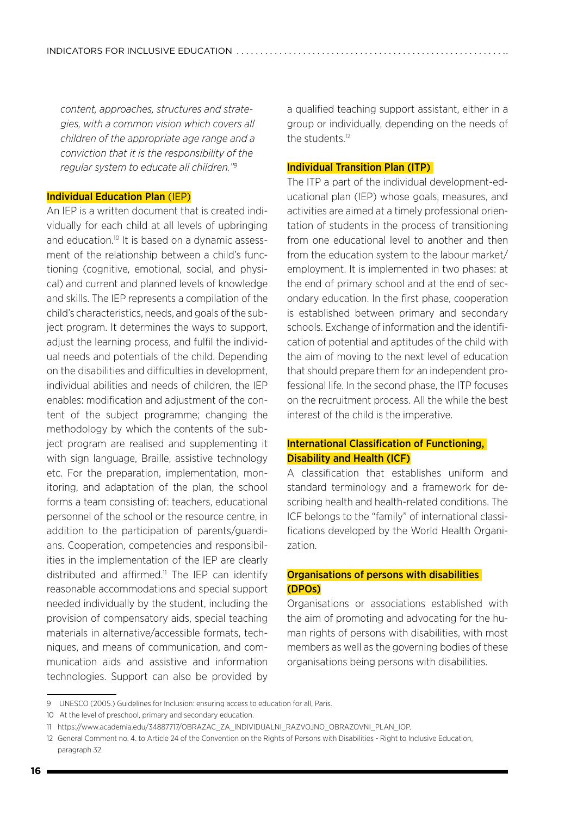*content, approaches, structures and strategies, with a common vision which covers all children of the appropriate age range and a conviction that it is the responsibility of the regular system to educate all children."9*

#### Individual Education Plan (IEP)

An IEP is a written document that is created individually for each child at all levels of upbringing and education.<sup>10</sup> It is based on a dynamic assessment of the relationship between a child's functioning (cognitive, emotional, social, and physical) and current and planned levels of knowledge and skills. The IEP represents a compilation of the child's characteristics, needs, and goals of the subject program. It determines the ways to support, adjust the learning process, and fulfil the individual needs and potentials of the child. Depending on the disabilities and difficulties in development, individual abilities and needs of children, the IEP enables: modification and adjustment of the content of the subject programme; changing the methodology by which the contents of the subject program are realised and supplementing it with sign language, Braille, assistive technology etc. For the preparation, implementation, monitoring, and adaptation of the plan, the school forms a team consisting of: teachers, educational personnel of the school or the resource centre, in addition to the participation of parents/guardians. Cooperation, competencies and responsibilities in the implementation of the IEP are clearly distributed and affirmed.<sup>11</sup> The IEP can identify reasonable accommodations and special support needed individually by the student, including the provision of compensatory aids, special teaching materials in alternative/accessible formats, techniques, and means of communication, and communication aids and assistive and information technologies. Support can also be provided by

a qualified teaching support assistant, either in a group or individually, depending on the needs of the students.12

#### Individual Transition Plan (ITP)

The ITP a part of the individual development-educational plan (IEP) whose goals, measures, and activities are aimed at a timely professional orientation of students in the process of transitioning from one educational level to another and then from the education system to the labour market/ employment. It is implemented in two phases: at the end of primary school and at the end of secondary education. In the first phase, cooperation is established between primary and secondary schools. Exchange of information and the identification of potential and aptitudes of the child with the aim of moving to the next level of education that should prepare them for an independent professional life. In the second phase, the ITP focuses on the recruitment process. All the while the best interest of the child is the imperative.

### International Classification of Functioning, Disability and Health (ICF)

A classification that establishes uniform and standard terminology and a framework for describing health and health-related conditions. The ICF belongs to the "family" of international classifications developed by the World Health Organization.

#### Organisations of persons with disabilities (DPOs)

Organisations or associations established with the aim of promoting and advocating for the human rights of persons with disabilities, with most members as well as the governing bodies of these organisations being persons with disabilities.

<sup>9</sup> UNESCO (2005.) Guidelines for Inclusion: ensuring access to education for all, Paris.

<sup>10</sup> At the level of preschool, primary and secondary education.

<sup>11</sup> [https://www.academia.edu/34887717/OBRAZAC\\_ZA\\_INDIVIDUALNI\\_RAZVOJNO\\_OBRAZOVNI\\_PLAN\\_IOP.](https://www.academia.edu/34887717/OBRAZAC_ZA_INDIVIDUALNI_RAZVOJNO_OBRAZOVNI_PLAN_IOP)

<sup>12</sup> General Comment no. 4. to Article 24 of the Convention on the Rights of Persons with Disabilities - Right to Inclusive Education, paragraph 32.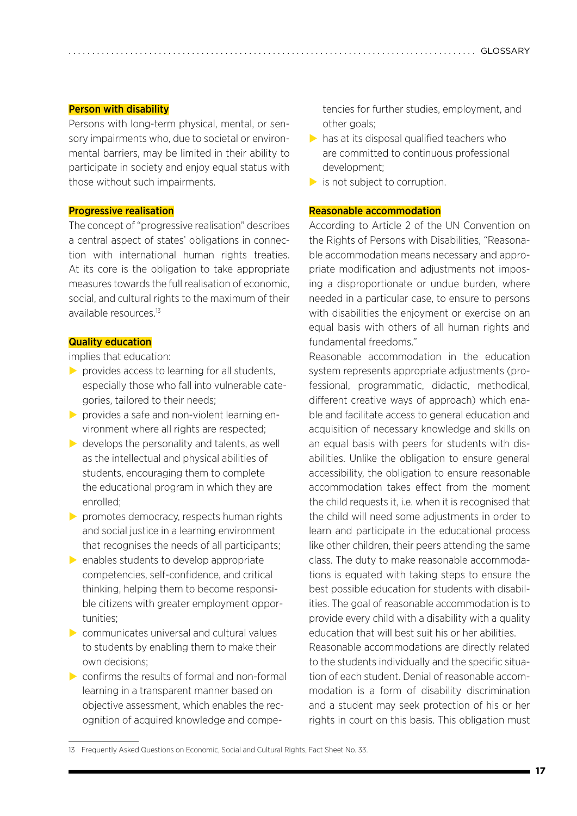#### Person with disability

Persons with long-term physical, mental, or sensory impairments who, due to societal or environmental barriers, may be limited in their ability to participate in society and enjoy equal status with those without such impairments.

#### Progressive realisation

The concept of "progressive realisation" describes a central aspect of states' obligations in connection with international human rights treaties. At its core is the obligation to take appropriate measures towards the full realisation of economic, social, and cultural rights to the maximum of their available resources.<sup>13</sup>

#### Quality education

implies that education:

- $\triangleright$  provides access to learning for all students, especially those who fall into vulnerable categories, tailored to their needs;
- $\triangleright$  provides a safe and non-violent learning environment where all rights are respected;
- $\triangleright$  develops the personality and talents, as well as the intellectual and physical abilities of students, encouraging them to complete the educational program in which they are enrolled;
- $\triangleright$  promotes democracy, respects human rights and social justice in a learning environment that recognises the needs of all participants;
- $\triangleright$  enables students to develop appropriate competencies, self-confidence, and critical thinking, helping them to become responsible citizens with greater employment opportunities;
- $\triangleright$  communicates universal and cultural values to students by enabling them to make their own decisions;
- $\triangleright$  confirms the results of formal and non-formal learning in a transparent manner based on objective assessment, which enables the recognition of acquired knowledge and compe-

tencies for further studies, employment, and other goals;

- $\triangleright$  has at its disposal qualified teachers who are committed to continuous professional development;
- $\triangleright$  is not subject to corruption.

#### Reasonable accommodation

According to Article 2 of the UN Convention on the Rights of Persons with Disabilities, "Reasonable accommodation means necessary and appropriate modification and adjustments not imposing a disproportionate or undue burden, where needed in a particular case, to ensure to persons with disabilities the enjoyment or exercise on an equal basis with others of all human rights and fundamental freedoms."

Reasonable accommodation in the education system represents appropriate adjustments (professional, programmatic, didactic, methodical, different creative ways of approach) which enable and facilitate access to general education and acquisition of necessary knowledge and skills on an equal basis with peers for students with disabilities. Unlike the obligation to ensure general accessibility, the obligation to ensure reasonable accommodation takes effect from the moment the child requests it, i.e. when it is recognised that the child will need some adjustments in order to learn and participate in the educational process like other children, their peers attending the same class. The duty to make reasonable accommodations is equated with taking steps to ensure the best possible education for students with disabilities. The goal of reasonable accommodation is to provide every child with a disability with a quality education that will best suit his or her abilities. Reasonable accommodations are directly related to the students individually and the specific situation of each student. Denial of reasonable accommodation is a form of disability discrimination and a student may seek protection of his or her rights in court on this basis. This obligation must

<sup>13</sup> Frequently Asked Questions on Economic, Social and Cultural Rights, Fact Sheet No. 33.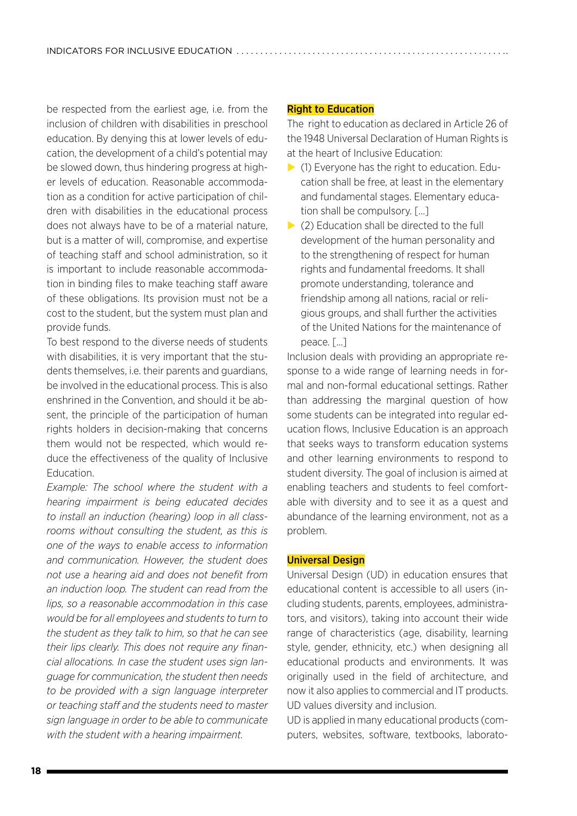be respected from the earliest age, i.e. from the inclusion of children with disabilities in preschool education. By denying this at lower levels of education, the development of a child's potential may be slowed down, thus hindering progress at higher levels of education. Reasonable accommodation as a condition for active participation of children with disabilities in the educational process does not always have to be of a material nature, but is a matter of will, compromise, and expertise of teaching staff and school administration, so it is important to include reasonable accommodation in binding files to make teaching staff aware of these obligations. Its provision must not be a cost to the student, but the system must plan and provide funds.

To best respond to the diverse needs of students with disabilities, it is very important that the students themselves, i.e. their parents and guardians, be involved in the educational process. This is also enshrined in the Convention, and should it be absent, the principle of the participation of human rights holders in decision-making that concerns them would not be respected, which would reduce the effectiveness of the quality of Inclusive Education.

*Example: The school where the student with a hearing impairment is being educated decides to install an induction (hearing) loop in all classrooms without consulting the student, as this is one of the ways to enable access to information and communication. However, the student does not use a hearing aid and does not benefit from an induction loop. The student can read from the lips, so a reasonable accommodation in this case would be for all employees and students to turn to the student as they talk to him, so that he can see their lips clearly. This does not require any financial allocations. In case the student uses sign language for communication, the student then needs to be provided with a sign language interpreter or teaching staff and the students need to master sign language in order to be able to communicate with the student with a hearing impairment.*

#### Right to Education

The right to education as declared in Article 26 of the 1948 Universal Declaration of Human Rights is at the heart of Inclusive Education:

- $\triangleright$  (1) Everyone has the right to education. Education shall be free, at least in the elementary and fundamental stages. Elementary education shall be compulsory. [...]
- $\triangleright$  (2) Education shall be directed to the full development of the human personality and to the strengthening of respect for human rights and fundamental freedoms. It shall promote understanding, tolerance and friendship among all nations, racial or religious groups, and shall further the activities of the United Nations for the maintenance of peace. [...]

Inclusion deals with providing an appropriate response to a wide range of learning needs in formal and non-formal educational settings. Rather than addressing the marginal question of how some students can be integrated into regular education flows, Inclusive Education is an approach that seeks ways to transform education systems and other learning environments to respond to student diversity. The goal of inclusion is aimed at enabling teachers and students to feel comfortable with diversity and to see it as a quest and abundance of the learning environment, not as a problem.

#### Universal Design

Universal Design (UD) in education ensures that educational content is accessible to all users (including students, parents, employees, administrators, and visitors), taking into account their wide range of characteristics (age, disability, learning style, gender, ethnicity, etc.) when designing all educational products and environments. It was originally used in the field of architecture, and now it also applies to commercial and IT products. UD values diversity and inclusion.

UD is applied in many educational products (computers, websites, software, textbooks, laborato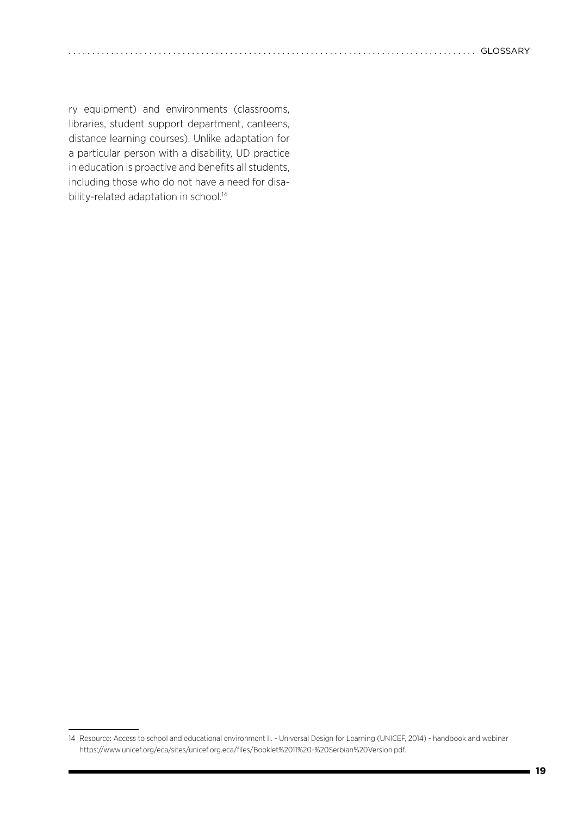ry equipment) and environments (classrooms, libraries, student support department, canteens, distance learning courses). Unlike adaptation for a particular person with a disability, UD practice in education is proactive and benefits all students, including those who do not have a need for disability-related adaptation in school.<sup>14</sup>

<sup>14</sup> Resource: Access to school and educational environment II. - Universal Design for Learning (UNICEF, 2014) - handbook and webinar [https://www.unicef.org/eca/sites/unicef.org.eca/files/Booklet%2011%20-%20Serbian%20Version.pdf.](https://www.unicef.org/eca/sites/unicef.org.eca/files/Booklet%2011%20-%20Serbian%20Version.pdf)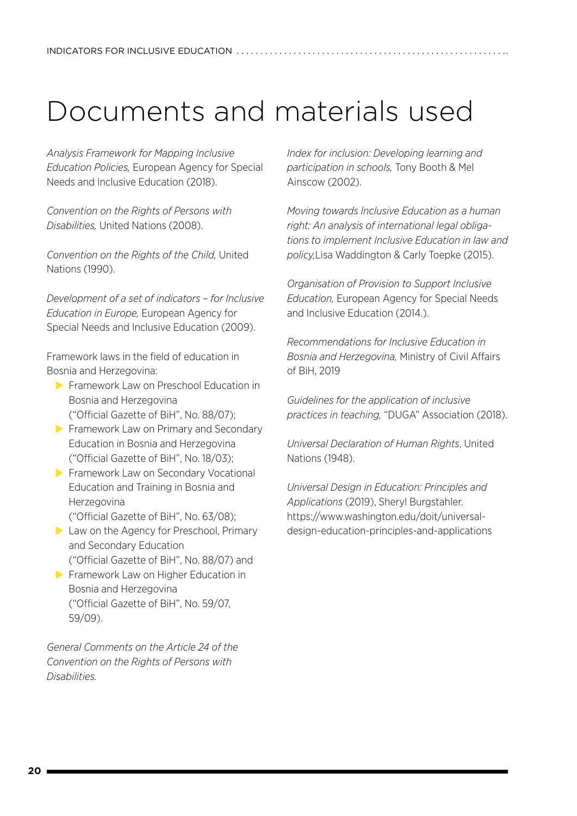# <span id="page-19-0"></span>Documents and materials used

*Analysis Framework for Mapping Inclusive Education Policies,* European Agency for Special Needs and Inclusive Education (2018).

*Convention on the Rights of Persons with Disabilities,* United Nations (2008).

*Convention on the Rights of the Child,* United Nations (1990).

*Development of a set of indicators – for Inclusive Education in Europe,* European Agency for Special Needs and Inclusive Education (2009).

Framework laws in the field of education in Bosnia and Herzegovina:

- $\blacktriangleright$  Framework Law on Preschool Education in Bosnia and Herzegovina ("Official Gazette of BiH", No. 88/07);
- $\triangleright$  Framework Law on Primary and Secondary Education in Bosnia and Herzegovina ("Official Gazette of BiH", No. 18/03);
- **Examework Law on Secondary Vocational** Education and Training in Bosnia and Herzegovina ("Official Gazette of BiH", No. 63/08);
- $\blacktriangleright$  Law on the Agency for Preschool, Primary and Secondary Education ("Official Gazette of BiH", No. 88/07) and
- Framework Law on Higher Education in
- Bosnia and Herzegovina ("Official Gazette of BiH", No. 59/07, 59/09).

*General Comments on the Article 24 of the Convention on the Rights of Persons with Disabilities.*

*Index for inclusion: Developing learning and participation in schools,* Tony Booth & Mel Ainscow (2002).

*Moving towards Inclusive Education as a human right: An analysis of international legal obligations to implement Inclusive Education in law and policy,*Lisa Waddington & Carly Toepke (2015).

*Organisation of Provision to Support Inclusive Education,* European Agency for Special Needs and Inclusive Education (2014.).

*Recommendations for Inclusive Education in Bosnia and Herzegovina,* Ministry of Civil Affairs of BiH, 2019

*Guidelines for the application of inclusive practices in teaching,* "DUGA" Association (2018).

*Universal Declaration of Human Rights*, United Nations (1948).

*Universal Design in Education: Principles and Applications* (2019), Sheryl Burgstahler. [https://www.washington.edu/doit/universal](https://www.washington.edu/doit/universal- design-education-principles-and-applications)[design-education-principles-and-applications](https://www.washington.edu/doit/universal- design-education-principles-and-applications)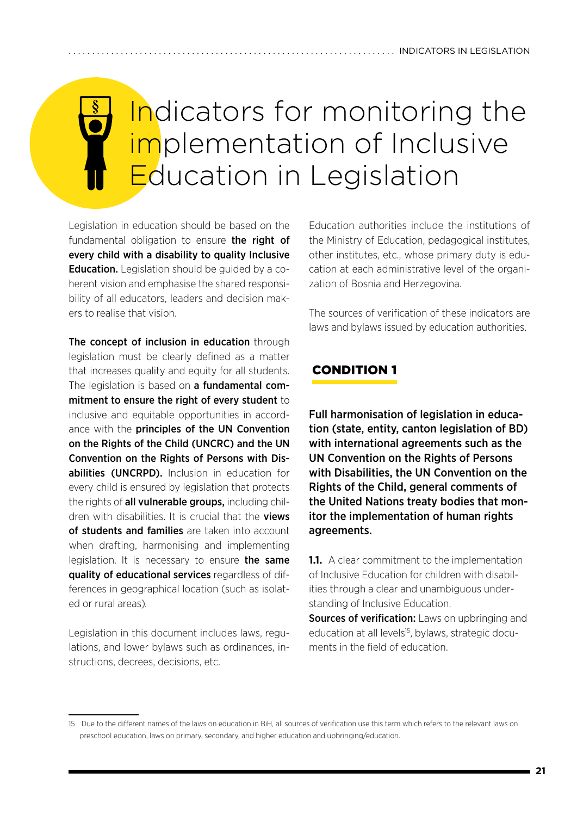# <span id="page-20-0"></span>Indicators for monitoring the implementation of Inclusive Education in Legislation

Legislation in education should be based on the fundamental obligation to ensure the right of every child with a disability to quality Inclusive **Education.** Legislation should be guided by a coherent vision and emphasise the shared responsibility of all educators, leaders and decision makers to realise that vision.

The concept of inclusion in education through legislation must be clearly defined as a matter that increases quality and equity for all students. The legislation is based on **a fundamental com**mitment to ensure the right of every student to inclusive and equitable opportunities in accordance with the principles of the UN Convention on the Rights of the Child (UNCRC) and the UN Convention on the Rights of Persons with Disabilities (UNCRPD). Inclusion in education for every child is ensured by legislation that protects the rights of all vulnerable groups, including children with disabilities. It is crucial that the **views** of students and families are taken into account when drafting, harmonising and implementing legislation. It is necessary to ensure the same quality of educational services regardless of differences in geographical location (such as isolated or rural areas)*.*

Legislation in this document includes laws, regulations, and lower bylaws such as ordinances, instructions, decrees, decisions, etc.

Education authorities include the institutions of the Ministry of Education, pedagogical institutes, other institutes, etc., whose primary duty is education at each administrative level of the organization of Bosnia and Herzegovina.

The sources of verification of these indicators are laws and bylaws issued by education authorities.

## 1. CONDITION 1

Full harmonisation of legislation in education (state, entity, canton legislation of BD) with international agreements such as the UN Convention on the Rights of Persons with Disabilities, the UN Convention on the Rights of the Child, general comments of the United Nations treaty bodies that monitor the implementation of human rights agreements.

**1.1.** A clear commitment to the implementation of Inclusive Education for children with disabilities through a clear and unambiguous understanding of Inclusive Education.

Sources of verification: Laws on upbringing and education at all levels<sup>15</sup>, bylaws, strategic documents in the field of education.

<sup>15</sup> Due to the different names of the laws on education in BiH, all sources of verification use this term which refers to the relevant laws on preschool education, laws on primary, secondary, and higher education and upbringing/education.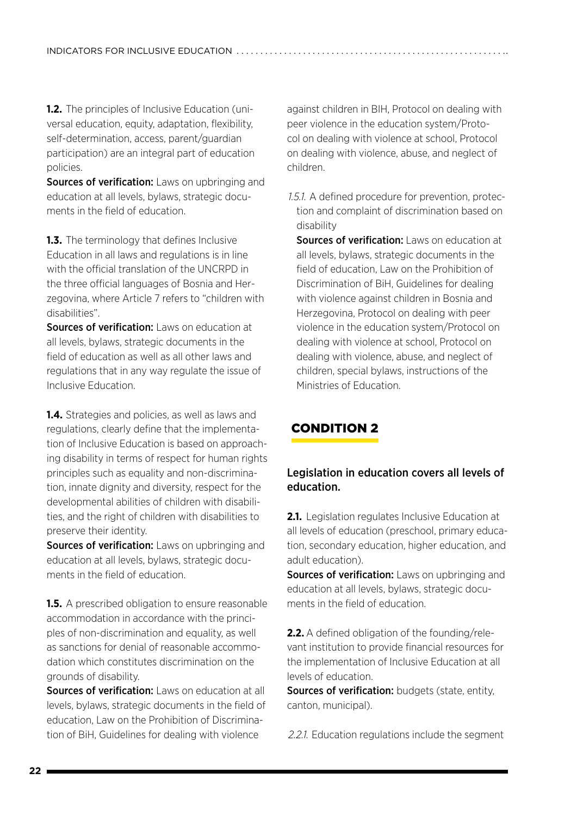**1.2.** The principles of Inclusive Education (universal education, equity, adaptation, flexibility, self-determination, access, parent/guardian participation) are an integral part of education policies.

**Sources of verification:** Laws on upbringing and education at all levels, bylaws, strategic documents in the field of education.

**1.3.** The terminology that defines Inclusive Education in all laws and regulations is in line with the official translation of the UNCRPD in the three official languages of Bosnia and Herzegovina, where Article 7 refers to "children with disabilities".

Sources of verification: Laws on education at all levels, bylaws, strategic documents in the field of education as well as all other laws and regulations that in any way regulate the issue of Inclusive Education.

**1.4.** Strategies and policies, as well as laws and regulations, clearly define that the implementation of Inclusive Education is based on approaching disability in terms of respect for human rights principles such as equality and non-discrimination, innate dignity and diversity, respect for the developmental abilities of children with disabilities, and the right of children with disabilities to preserve their identity.

Sources of verification: Laws on upbringing and education at all levels, bylaws, strategic documents in the field of education.

**1.5.** A prescribed obligation to ensure reasonable accommodation in accordance with the principles of non-discrimination and equality, as well as sanctions for denial of reasonable accommodation which constitutes discrimination on the grounds of disability.

Sources of verification: Laws on education at all levels, bylaws, strategic documents in the field of education, Law on the Prohibition of Discrimination of BiH, Guidelines for dealing with violence

against children in BIH, Protocol on dealing with peer violence in the education system/Protocol on dealing with violence at school, Protocol on dealing with violence, abuse, and neglect of children.

*1.5.1.*A defined procedure for prevention, protection and complaint of discrimination based on disability

Sources of verification: Laws on education at all levels, bylaws, strategic documents in the field of education, Law on the Prohibition of Discrimination of BiH, Guidelines for dealing with violence against children in Bosnia and Herzegovina, Protocol on dealing with peer violence in the education system/Protocol on dealing with violence at school, Protocol on dealing with violence, abuse, and neglect of children, special bylaws, instructions of the Ministries of Education.

# 2. CONDITION 2

### Legislation in education covers all levels of education.

**2.1.** Legislation regulates Inclusive Education at all levels of education (preschool, primary education, secondary education, higher education, and adult education).

Sources of verification: Laws on upbringing and education at all levels, bylaws, strategic documents in the field of education.

**2.2.** A defined obligation of the founding/relevant institution to provide financial resources for the implementation of Inclusive Education at all levels of education.

Sources of verification: budgets (state, entity, canton, municipal).

*2.2.1.*Education regulations include the segment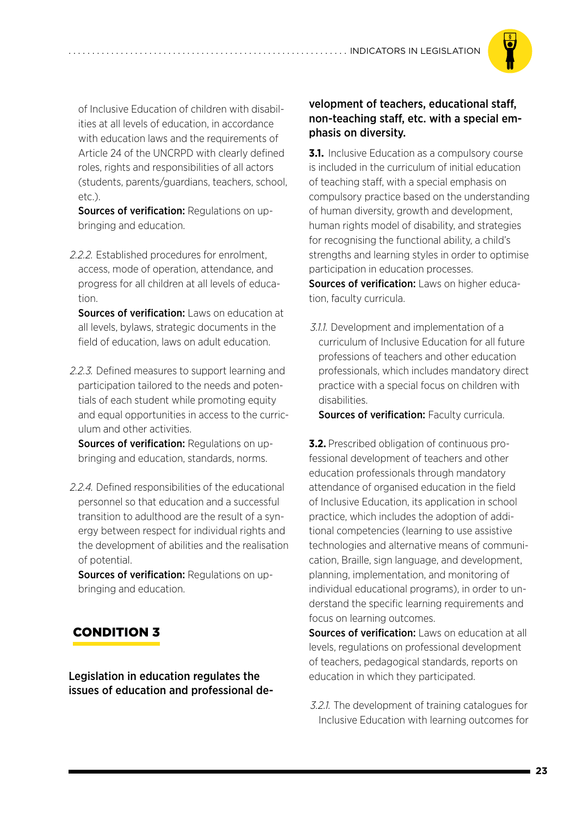

of Inclusive Education of children with disabilities at all levels of education, in accordance with education laws and the requirements of Article 24 of the UNCRPD with clearly defined roles, rights and responsibilities of all actors (students, parents/guardians, teachers, school, etc.).

**Sources of verification: Regulations on up**bringing and education.

*2.2.2.*Established procedures for enrolment, access, mode of operation, attendance, and progress for all children at all levels of education.

Sources of verification: Laws on education at all levels, bylaws, strategic documents in the field of education, laws on adult education.

*2.2.3.*Defined measures to support learning and participation tailored to the needs and potentials of each student while promoting equity and equal opportunities in access to the curriculum and other activities.

Sources of verification: Regulations on upbringing and education, standards, norms.

*2.2.4.*Defined responsibilities of the educational personnel so that education and a successful transition to adulthood are the result of a synergy between respect for individual rights and the development of abilities and the realisation of potential.

Sources of verification: Regulations on upbringing and education.

## 3. CONDITION 3

Legislation in education regulates the issues of education and professional de-

### velopment of teachers, educational staff, non-teaching staff, etc. with a special emphasis on diversity.

**3.1.** Inclusive Education as a compulsory course is included in the curriculum of initial education of teaching staff, with a special emphasis on compulsory practice based on the understanding of human diversity, growth and development, human rights model of disability, and strategies for recognising the functional ability, a child's strengths and learning styles in order to optimise participation in education processes. Sources of verification: Laws on higher education, faculty curricula.

*3.1.1.*Development and implementation of a curriculum of Inclusive Education for all future professions of teachers and other education professionals, which includes mandatory direct practice with a special focus on children with disabilities.

Sources of verification: Faculty curricula.

**3.2.** Prescribed obligation of continuous professional development of teachers and other education professionals through mandatory attendance of organised education in the field of Inclusive Education, its application in school practice, which includes the adoption of additional competencies (learning to use assistive technologies and alternative means of communication, Braille, sign language, and development, planning, implementation, and monitoring of individual educational programs), in order to understand the specific learning requirements and focus on learning outcomes.

Sources of verification: Laws on education at all levels, regulations on professional development of teachers, pedagogical standards, reports on education in which they participated.

*3.2.1.*The development of training catalogues for Inclusive Education with learning outcomes for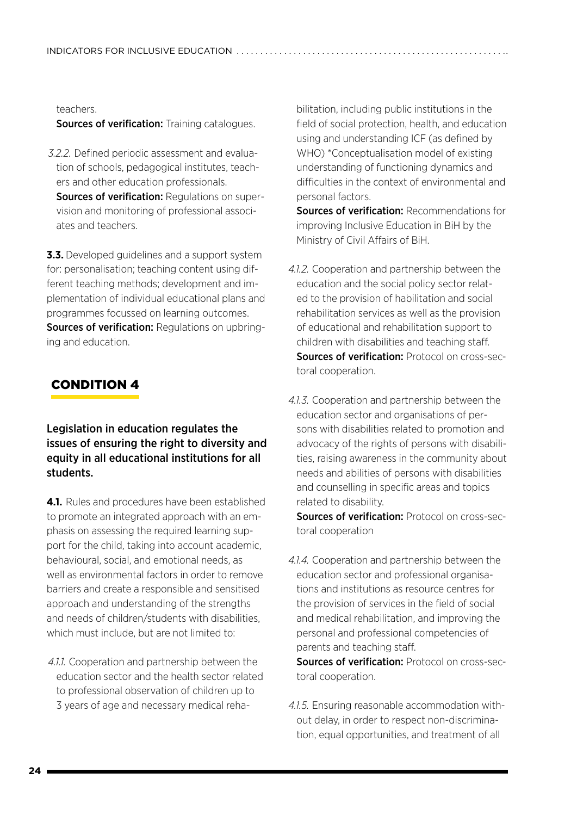teachers.

Sources of verification: Training catalogues.

*3.2.2.*Defined periodic assessment and evaluation of schools, pedagogical institutes, teachers and other education professionals. Sources of verification: Regulations on super-

vision and monitoring of professional associates and teachers.

**3.3.** Developed guidelines and a support system for: personalisation; teaching content using different teaching methods; development and implementation of individual educational plans and programmes focussed on learning outcomes. Sources of verification: Regulations on upbringing and education.

## 4. CONDITION 4

### Legislation in education regulates the issues of ensuring the right to diversity and equity in all educational institutions for all students.

**4.1.** Rules and procedures have been established to promote an integrated approach with an emphasis on assessing the required learning support for the child, taking into account academic, behavioural, social, and emotional needs, as well as environmental factors in order to remove barriers and create a responsible and sensitised approach and understanding of the strengths and needs of children/students with disabilities, which must include, but are not limited to:

*4.1.1.*Cooperation and partnership between the education sector and the health sector related to professional observation of children up to 3 years of age and necessary medical rehabilitation, including public institutions in the field of social protection, health, and education using and understanding ICF (as defined by WHO) \*Conceptualisation model of existing understanding of functioning dynamics and difficulties in the context of environmental and personal factors.

Sources of verification: Recommendations for improving Inclusive Education in BiH by the Ministry of Civil Affairs of BiH.

- *4.1.2.*Cooperation and partnership between the education and the social policy sector related to the provision of habilitation and social rehabilitation services as well as the provision of educational and rehabilitation support to children with disabilities and teaching staff. Sources of verification: Protocol on cross-sectoral cooperation.
- *4.1.3.*Cooperation and partnership between the education sector and organisations of persons with disabilities related to promotion and advocacy of the rights of persons with disabilities, raising awareness in the community about needs and abilities of persons with disabilities and counselling in specific areas and topics related to disability.

Sources of verification: Protocol on cross-sectoral cooperation

*4.1.4.*Cooperation and partnership between the education sector and professional organisations and institutions as resource centres for the provision of services in the field of social and medical rehabilitation, and improving the personal and professional competencies of parents and teaching staff.

Sources of verification: Protocol on cross-sectoral cooperation.

*4.1.5.*Ensuring reasonable accommodation without delay, in order to respect non-discrimination, equal opportunities, and treatment of all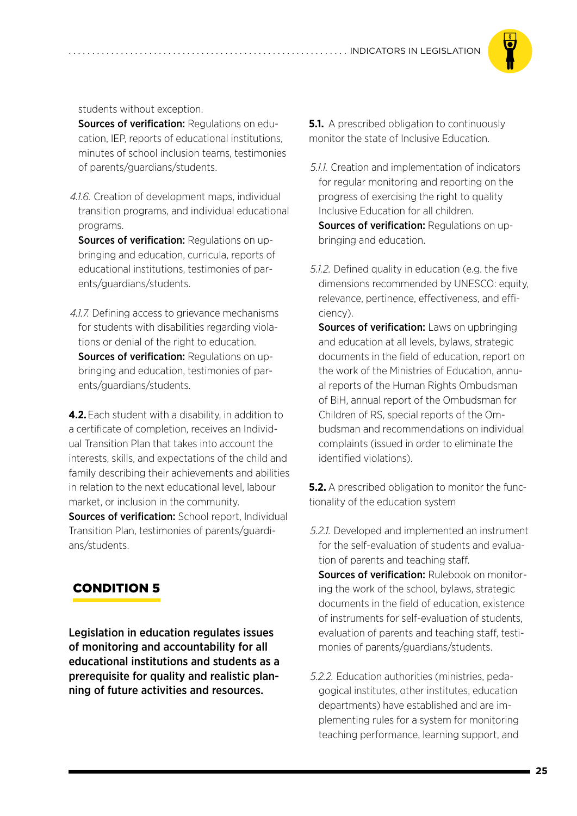

students without exception.

Sources of verification: Regulations on education, IEP, reports of educational institutions, minutes of school inclusion teams, testimonies of parents/guardians/students.

*4.1.6.*Creation of development maps, individual transition programs, and individual educational programs.

Sources of verification: Regulations on upbringing and education, curricula, reports of educational institutions, testimonies of parents/guardians/students.

*4.1.7.*Defining access to grievance mechanisms for students with disabilities regarding violations or denial of the right to education. Sources of verification: Regulations on upbringing and education, testimonies of parents/guardians/students.

**4.2.**Each student with a disability, in addition to a certificate of completion, receives an Individual Transition Plan that takes into account the interests, skills, and expectations of the child and family describing their achievements and abilities in relation to the next educational level, labour market, or inclusion in the community. Sources of verification: School report, Individual Transition Plan, testimonies of parents/guardians/students.

## 5. CONDITION 5

Legislation in education regulates issues of monitoring and accountability for all educational institutions and students as a prerequisite for quality and realistic planning of future activities and resources.

**5.1.** A prescribed obligation to continuously monitor the state of Inclusive Education.

- *5.1.1.*Creation and implementation of indicators for regular monitoring and reporting on the progress of exercising the right to quality Inclusive Education for all children. Sources of verification: Regulations on upbringing and education.
- *5.1.2.*Defined quality in education (e.g. the five dimensions recommended by UNESCO: equity, relevance, pertinence, effectiveness, and efficiency).

Sources of verification: Laws on upbringing and education at all levels, bylaws, strategic documents in the field of education, report on the work of the Ministries of Education, annual reports of the Human Rights Ombudsman of BiH, annual report of the Ombudsman for Children of RS, special reports of the Ombudsman and recommendations on individual complaints (issued in order to eliminate the identified violations).

**5.2.** A prescribed obligation to monitor the functionality of the education system

- *5.2.1.*Developed and implemented an instrument for the self-evaluation of students and evaluation of parents and teaching staff. Sources of verification: Rulebook on monitoring the work of the school, bylaws, strategic documents in the field of education, existence of instruments for self-evaluation of students, evaluation of parents and teaching staff, testimonies of parents/guardians/students.
- *5.2.2.*Education authorities (ministries, pedagogical institutes, other institutes, education departments) have established and are implementing rules for a system for monitoring teaching performance, learning support, and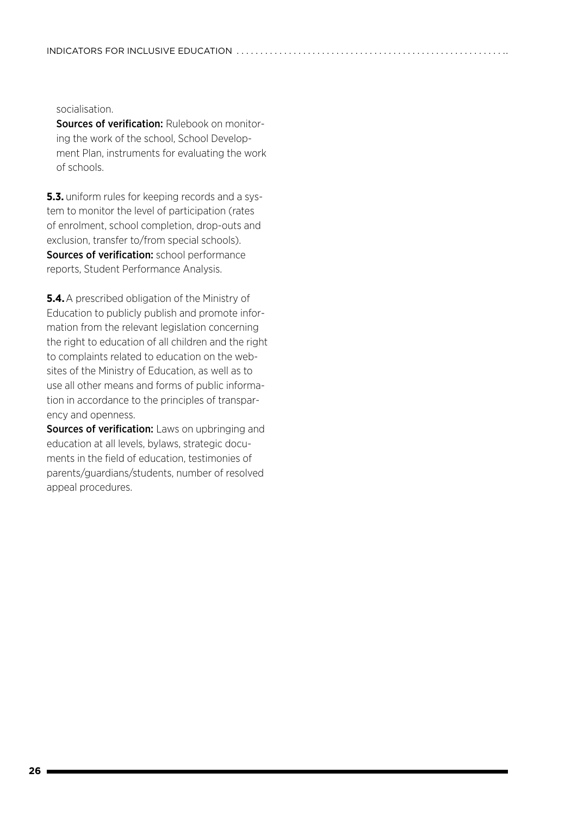socialisation.

Sources of verification: Rulebook on monitoring the work of the school, School Development Plan, instruments for evaluating the work of schools.

**5.3.** uniform rules for keeping records and a system to monitor the level of participation (rates of enrolment, school completion, drop-outs and exclusion, transfer to/from special schools). Sources of verification: school performance reports, Student Performance Analysis.

**5.4.**A prescribed obligation of the Ministry of Education to publicly publish and promote information from the relevant legislation concerning the right to education of all children and the right to complaints related to education on the websites of the Ministry of Education, as well as to use all other means and forms of public information in accordance to the principles of transparency and openness.

Sources of verification: Laws on upbringing and education at all levels, bylaws, strategic documents in the field of education, testimonies of parents/guardians/students, number of resolved appeal procedures.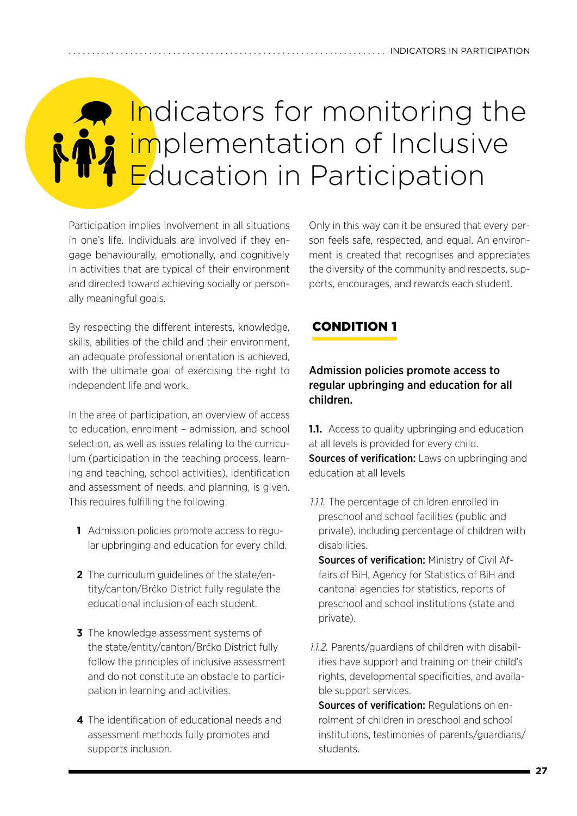# <span id="page-26-0"></span>Indicators for monitoring the implementation of Inclusive Education in Participation

Participation implies involvement in all situations in one's life. Individuals are involved if they engage behaviourally, emotionally, and cognitively in activities that are typical of their environment and directed toward achieving socially or personally meaningful goals.

Only in this way can it be ensured that every person feels safe, respected, and equal. An environment is created that recognises and appreciates the diversity of the community and respects, supports, encourages, and rewards each student.

By respecting the different interests, knowledge, skills, abilities of the child and their environment, an adequate professional orientation is achieved, with the ultimate goal of exercising the right to independent life and work.

In the area of participation, an overview of access to education, enrolment – admission, and school selection, as well as issues relating to the curriculum (participation in the teaching process, learning and teaching, school activities), identification and assessment of needs, and planning, is given. This requires fulfilling the following:

- **1** Admission policies promote access to regular upbringing and education for every child.
- **2** The curriculum guidelines of the state/entity/canton/Brčko District fully regulate the educational inclusion of each student.
- **3** The knowledge assessment systems of the state/entity/canton/Brčko District fully follow the principles of inclusive assessment and do not constitute an obstacle to participation in learning and activities.
- **4** The identification of educational needs and assessment methods fully promotes and supports inclusion.

## 1. CONDITION 1

### Admission policies promote access to regular upbringing and education for all children.

**1.1.** Access to quality upbringing and education at all levels is provided for every child. Sources of verification: Laws on upbringing and education at all levels

*1.1.1.*The percentage of children enrolled in preschool and school facilities (public and private), including percentage of children with disabilities.

Sources of verification: Ministry of Civil Affairs of BiH, Agency for Statistics of BiH and cantonal agencies for statistics, reports of preschool and school institutions (state and private).

*1.1.2.*Parents/guardians of children with disabilities have support and training on their child's rights, developmental specificities, and available support services.

Sources of verification: Regulations on enrolment of children in preschool and school institutions, testimonies of parents/guardians/ students.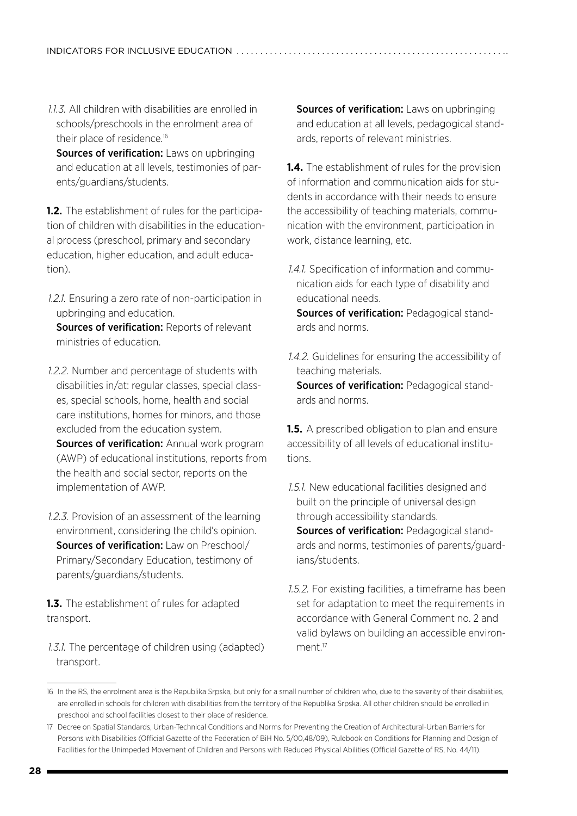*1.1.3.*All children with disabilities are enrolled in schools/preschools in the enrolment area of their place of residence.<sup>16</sup>

Sources of verification: Laws on upbringing and education at all levels, testimonies of parents/guardians/students.

**1.2.** The establishment of rules for the participation of children with disabilities in the educational process (preschool, primary and secondary education, higher education, and adult education).

*1.2.1.*Ensuring a zero rate of non-participation in upbringing and education.

Sources of verification: Reports of relevant ministries of education.

- *1.2.2.*Number and percentage of students with disabilities in/at: regular classes, special classes, special schools, home, health and social care institutions, homes for minors, and those excluded from the education system. Sources of verification: Annual work program (AWP) of educational institutions, reports from the health and social sector, reports on the implementation of AWP.
- *1.2.3.*Provision of an assessment of the learning environment, considering the child's opinion. Sources of verification: Law on Preschool/ Primary/Secondary Education, testimony of parents/guardians/students.

**1.3.** The establishment of rules for adapted transport.

*1.3.1.*The percentage of children using (adapted) transport.

Sources of verification: Laws on upbringing and education at all levels, pedagogical standards, reports of relevant ministries.

**1.4.** The establishment of rules for the provision of information and communication aids for students in accordance with their needs to ensure the accessibility of teaching materials, communication with the environment, participation in work, distance learning, etc.

*1.4.1.*Specification of information and communication aids for each type of disability and educational needs.

Sources of verification: Pedagogical standards and norms.

*1.4.2.*Guidelines for ensuring the accessibility of teaching materials. Sources of verification: Pedagogical standards and norms.

**1.5.** A prescribed obligation to plan and ensure accessibility of all levels of educational institutions.

*1.5.1.*New educational facilities designed and built on the principle of universal design through accessibility standards.

Sources of verification: Pedagogical standards and norms, testimonies of parents/guardians/students.

*1.5.2.*For existing facilities, a timeframe has been set for adaptation to meet the requirements in accordance with General Comment no. 2 and valid bylaws on building an accessible environment<sup>17</sup>

<sup>16</sup> In the RS, the enrolment area is the Republika Srpska, but only for a small number of children who, due to the severity of their disabilities, are enrolled in schools for children with disabilities from the territory of the Republika Srpska. All other children should be enrolled in preschool and school facilities closest to their place of residence.

<sup>17</sup> Decree on Spatial Standards, Urban-Technical Conditions and Norms for Preventing the Creation of Architectural-Urban Barriers for Persons with Disabilities (Official Gazette of the Federation of BiH No. 5/00,48/09), Rulebook on Conditions for Planning and Design of Facilities for the Unimpeded Movement of Children and Persons with Reduced Physical Abilities (Official Gazette of RS, No. 44/11).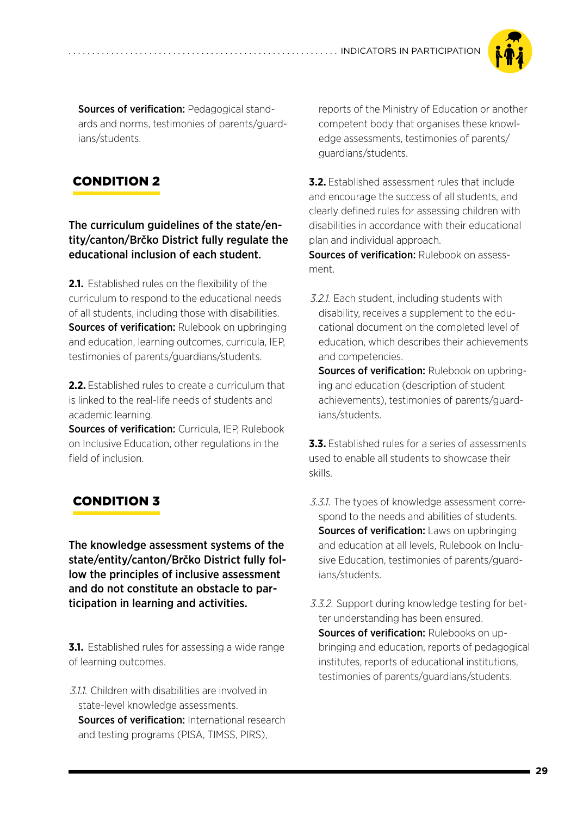

Sources of verification: Pedagogical standards and norms, testimonies of parents/guardians/students.

## 2. CONDITION 2

The curriculum guidelines of the state/entity/canton/Brčko District fully regulate the educational inclusion of each student.

**2.1.** Established rules on the flexibility of the curriculum to respond to the educational needs of all students, including those with disabilities. Sources of verification: Rulebook on upbringing and education, learning outcomes, curricula, IEP, testimonies of parents/guardians/students.

**2.2.** Established rules to create a curriculum that is linked to the real-life needs of students and academic learning.

Sources of verification: Curricula, IEP, Rulebook on Inclusive Education, other regulations in the field of inclusion.

# 3. CONDITION 3

The knowledge assessment systems of the state/entity/canton/Brčko District fully follow the principles of inclusive assessment and do not constitute an obstacle to participation in learning and activities.

**3.1.** Established rules for assessing a wide range of learning outcomes.

*3.1.1.*Children with disabilities are involved in state-level knowledge assessments. Sources of verification: International research and testing programs (PISA, TIMSS, PIRS),

reports of the Ministry of Education or another competent body that organises these knowledge assessments, testimonies of parents/ guardians/students.

**3.2.** Established assessment rules that include and encourage the success of all students, and clearly defined rules for assessing children with disabilities in accordance with their educational plan and individual approach.

**Sources of verification: Rulebook on assess**ment.

*3.2.1.*Each student, including students with disability, receives a supplement to the educational document on the completed level of education, which describes their achievements and competencies.

Sources of verification: Rulebook on upbringing and education (description of student achievements), testimonies of parents/guardians/students.

**3.3.** Established rules for a series of assessments used to enable all students to showcase their skills.

- *3.3.1.*The types of knowledge assessment correspond to the needs and abilities of students. Sources of verification: Laws on upbringing and education at all levels, Rulebook on Inclusive Education, testimonies of parents/guardians/students.
- *3.3.2.*Support during knowledge testing for better understanding has been ensured. Sources of verification: Rulebooks on upbringing and education, reports of pedagogical institutes, reports of educational institutions, testimonies of parents/guardians/students.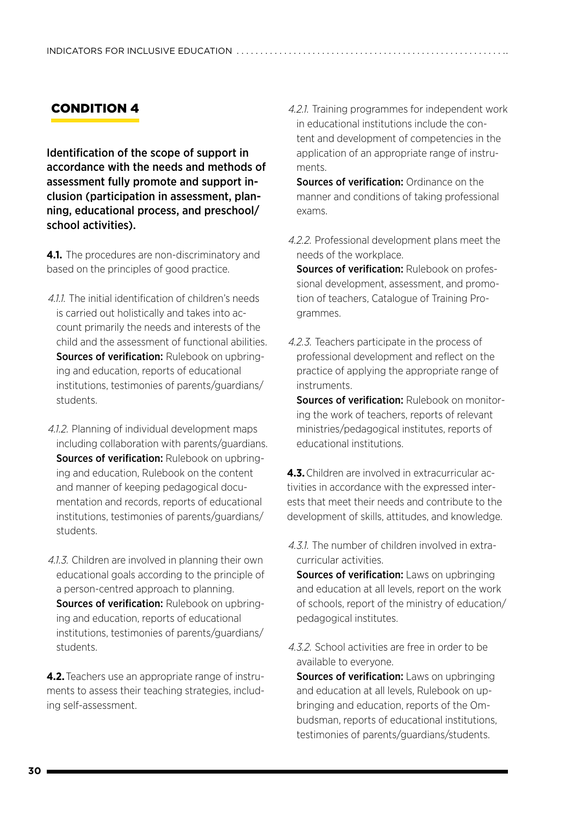## 4. CONDITION 4

Identification of the scope of support in accordance with the needs and methods of assessment fully promote and support inclusion (participation in assessment, planning, educational process, and preschool/ school activities).

**4.1.** The procedures are non-discriminatory and based on the principles of good practice.

- *4.1.1.*The initial identification of children's needs is carried out holistically and takes into account primarily the needs and interests of the child and the assessment of functional abilities. Sources of verification: Rulebook on upbringing and education, reports of educational institutions, testimonies of parents/guardians/ students.
- *4.1.2.*Planning of individual development maps including collaboration with parents/guardians. Sources of verification: Rulebook on upbringing and education, Rulebook on the content and manner of keeping pedagogical documentation and records, reports of educational institutions, testimonies of parents/guardians/ students.
- *4.1.3.*Children are involved in planning their own educational goals according to the principle of a person-centred approach to planning. Sources of verification: Rulebook on upbringing and education, reports of educational institutions, testimonies of parents/guardians/ students.

**4.2.**Teachers use an appropriate range of instruments to assess their teaching strategies, including self-assessment.

*4.2.1.*Training programmes for independent work in educational institutions include the content and development of competencies in the application of an appropriate range of instruments.

**Sources of verification:** Ordinance on the manner and conditions of taking professional exams.

*4.2.2.*Professional development plans meet the needs of the workplace.

Sources of verification: Rulebook on professional development, assessment, and promotion of teachers, Catalogue of Training Programmes.

*4.2.3.*Teachers participate in the process of professional development and reflect on the practice of applying the appropriate range of instruments.

Sources of verification: Rulebook on monitoring the work of teachers, reports of relevant ministries/pedagogical institutes, reports of educational institutions.

**4.3.**Children are involved in extracurricular activities in accordance with the expressed interests that meet their needs and contribute to the development of skills, attitudes, and knowledge.

*4.3.1.*The number of children involved in extracurricular activities.

Sources of verification: Laws on upbringing and education at all levels, report on the work of schools, report of the ministry of education/ pedagogical institutes.

*4.3.2.*School activities are free in order to be available to everyone.

Sources of verification: Laws on upbringing and education at all levels, Rulebook on upbringing and education, reports of the Ombudsman, reports of educational institutions, testimonies of parents/guardians/students.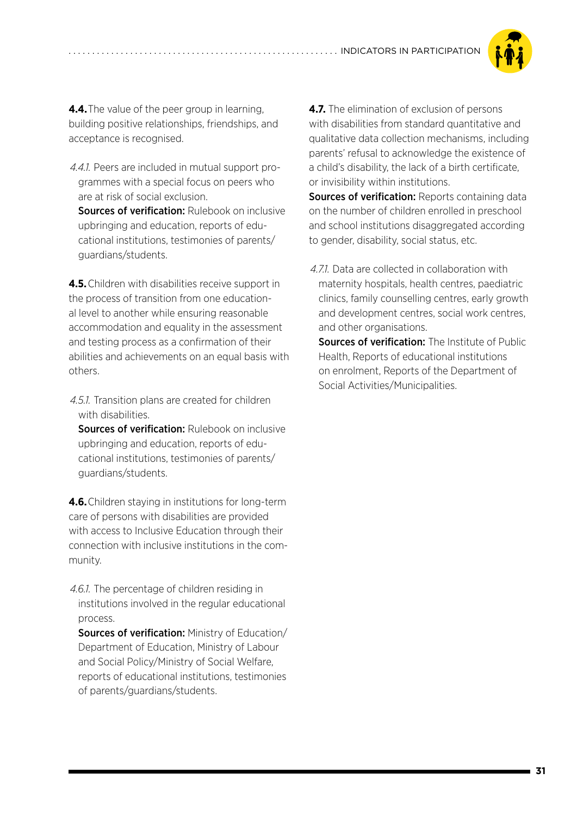

**4.4.**The value of the peer group in learning, building positive relationships, friendships, and acceptance is recognised.

*4.4.1.*Peers are included in mutual support programmes with a special focus on peers who are at risk of social exclusion.

**Sources of verification: Rulebook on inclusive** upbringing and education, reports of educational institutions, testimonies of parents/ guardians/students.

**4.5.**Children with disabilities receive support in the process of transition from one educational level to another while ensuring reasonable accommodation and equality in the assessment and testing process as a confirmation of their abilities and achievements on an equal basis with others.

*4.5.1.*Transition plans are created for children with disabilities.

Sources of verification: Rulebook on inclusive upbringing and education, reports of educational institutions, testimonies of parents/ guardians/students.

**4.6.**Children staying in institutions for long-term care of persons with disabilities are provided with access to Inclusive Education through their connection with inclusive institutions in the community.

*4.6.1.*The percentage of children residing in institutions involved in the regular educational process.

Sources of verification: Ministry of Education/ Department of Education, Ministry of Labour and Social Policy/Ministry of Social Welfare, reports of educational institutions, testimonies of parents/guardians/students.

**4.7.** The elimination of exclusion of persons with disabilities from standard quantitative and qualitative data collection mechanisms, including parents' refusal to acknowledge the existence of a child's disability, the lack of a birth certificate, or invisibility within institutions.

Sources of verification: Reports containing data on the number of children enrolled in preschool and school institutions disaggregated according to gender, disability, social status, etc.

*4.7.1.*Data are collected in collaboration with maternity hospitals, health centres, paediatric clinics, family counselling centres, early growth and development centres, social work centres, and other organisations.

Sources of verification: The Institute of Public Health, Reports of educational institutions on enrolment, Reports of the Department of Social Activities/Municipalities.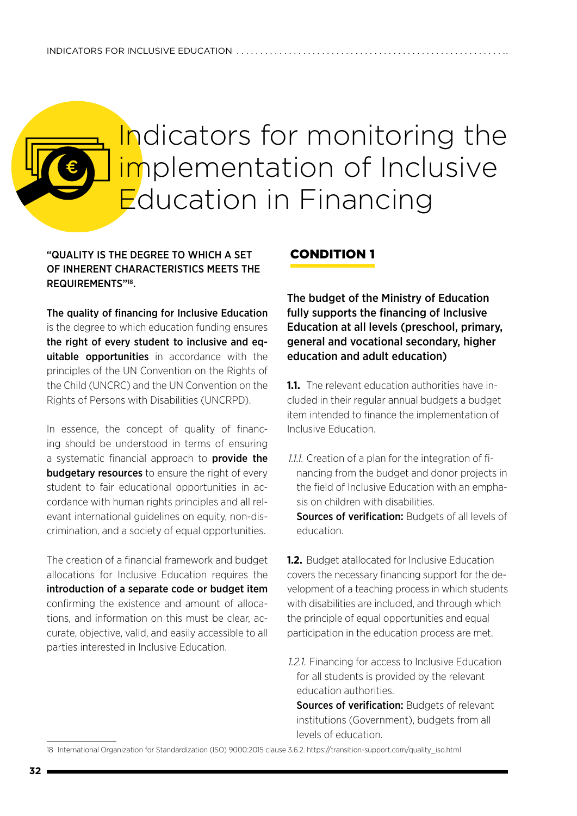# <span id="page-31-0"></span>Indicators for monitoring the implementation of Inclusive Education in Financing

### "QUALITY IS THE DEGREE TO WHICH A SET OF INHERENT CHARACTERISTICS MEETS THE REQUIREMENTS"18.

The quality of financing for Inclusive Education is the degree to which education funding ensures the right of every student to inclusive and equitable opportunities in accordance with the principles of the UN Convention on the Rights of the Child (UNCRC) and the UN Convention on the Rights of Persons with Disabilities (UNCRPD).

In essence, the concept of quality of financing should be understood in terms of ensuring a systematic financial approach to **provide the budgetary resources** to ensure the right of every student to fair educational opportunities in accordance with human rights principles and all relevant international guidelines on equity, non-discrimination, and a society of equal opportunities.

The creation of a financial framework and budget allocations for Inclusive Education requires the introduction of a separate code or budget item confirming the existence and amount of allocations, and information on this must be clear, accurate, objective, valid, and easily accessible to all parties interested in Inclusive Education.

### 1. CONDITION 1

The budget of the Ministry of Education fully supports the financing of Inclusive Education at all levels (preschool, primary, general and vocational secondary, higher education and adult education)

**1.1.** The relevant education authorities have included in their regular annual budgets a budget item intended to finance the implementation of Inclusive Education.

*1.1.1.*Creation of a plan for the integration of financing from the budget and donor projects in the field of Inclusive Education with an emphasis on children with disabilities.

Sources of verification: Budgets of all levels of education.

**1.2.** Budget atallocated for Inclusive Education covers the necessary financing support for the development of a teaching process in which students with disabilities are included, and through which the principle of equal opportunities and equal participation in the education process are met.

*1.2.1.*Financing for access to Inclusive Education for all students is provided by the relevant education authorities.

Sources of verification: Budgets of relevant institutions (Government), budgets from all levels of education.

<sup>18</sup> International Organization for Standardization (ISO) 9000:2015 clause 3.6.2. https://transition-support.com/quality\_iso.html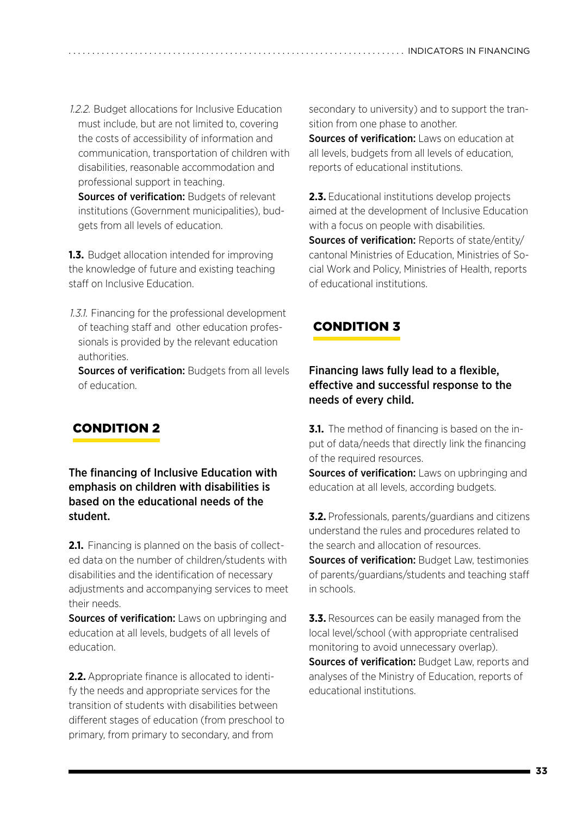*1.2.2.*Budget allocations for Inclusive Education must include, but are not limited to, covering the costs of accessibility of information and communication, transportation of children with disabilities, reasonable accommodation and professional support in teaching.

Sources of verification: Budgets of relevant institutions (Government municipalities), budgets from all levels of education.

**1.3.** Budget allocation intended for improving the knowledge of future and existing teaching staff on Inclusive Education.

*1.3.1.*Financing for the professional development of teaching staff and other education professionals is provided by the relevant education authorities.

Sources of verification: Budgets from all levels of education.

# 2. CONDITION 2

The financing of Inclusive Education with emphasis on children with disabilities is based on the educational needs of the student.

**2.1.** Financing is planned on the basis of collected data on the number of children/students with disabilities and the identification of necessary adjustments and accompanying services to meet their needs.

Sources of verification: Laws on upbringing and education at all levels, budgets of all levels of education.

**2.2.** Appropriate finance is allocated to identify the needs and appropriate services for the transition of students with disabilities between different stages of education (from preschool to primary, from primary to secondary, and from

secondary to university) and to support the transition from one phase to another.

Sources of verification: Laws on education at all levels, budgets from all levels of education, reports of educational institutions.

**2.3.** Educational institutions develop projects aimed at the development of Inclusive Education with a focus on people with disabilities. Sources of verification: Reports of state/entity/

cantonal Ministries of Education, Ministries of Social Work and Policy, Ministries of Health, reports of educational institutions.

## 3. CONDITION 3

## Financing laws fully lead to a flexible, effective and successful response to the needs of every child.

**3.1.** The method of financing is based on the input of data/needs that directly link the financing of the required resources.

Sources of verification: Laws on upbringing and education at all levels, according budgets.

**3.2.** Professionals, parents/guardians and citizens understand the rules and procedures related to the search and allocation of resources. **Sources of verification: Budget Law, testimonies** of parents/guardians/students and teaching staff in schools.

**3.3.** Resources can be easily managed from the local level/school (with appropriate centralised monitoring to avoid unnecessary overlap). Sources of verification: Budget Law, reports and analyses of the Ministry of Education, reports of educational institutions.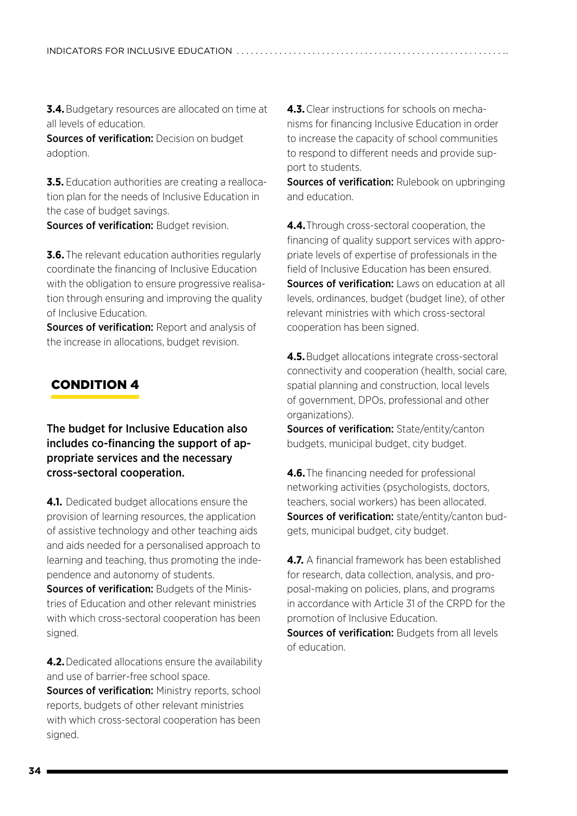**3.4.** Budgetary resources are allocated on time at all levels of education.

**Sources of verification:** Decision on budget adoption.

**3.5.** Education authorities are creating a reallocation plan for the needs of Inclusive Education in the case of budget savings.

Sources of verification: Budget revision.

**3.6.** The relevant education authorities regularly coordinate the financing of Inclusive Education with the obligation to ensure progressive realisation through ensuring and improving the quality of Inclusive Education.

Sources of verification: Report and analysis of the increase in allocations, budget revision.

## 4. CONDITION 4

The budget for Inclusive Education also includes co-financing the support of appropriate services and the necessary cross-sectoral cooperation.

**4.1.** Dedicated budget allocations ensure the provision of learning resources, the application of assistive technology and other teaching aids and aids needed for a personalised approach to learning and teaching, thus promoting the independence and autonomy of students.

Sources of verification: Budgets of the Ministries of Education and other relevant ministries with which cross-sectoral cooperation has been signed.

**4.2.** Dedicated allocations ensure the availability and use of barrier-free school space.

Sources of verification: Ministry reports, school reports, budgets of other relevant ministries with which cross-sectoral cooperation has been signed.

**4.3.**Clear instructions for schools on mechanisms for financing Inclusive Education in order to increase the capacity of school communities to respond to different needs and provide support to students.

**Sources of verification:** Rulebook on upbringing and education.

**4.4.**Through cross-sectoral cooperation, the financing of quality support services with appropriate levels of expertise of professionals in the field of Inclusive Education has been ensured. Sources of verification: Laws on education at all levels, ordinances, budget (budget line), of other relevant ministries with which cross-sectoral cooperation has been signed.

**4.5.**Budget allocations integrate cross-sectoral connectivity and cooperation (health, social care, spatial planning and construction, local levels of government, DPOs, professional and other organizations).

Sources of verification: State/entity/canton budgets, municipal budget, city budget.

**4.6.**The financing needed for professional networking activities (psychologists, doctors, teachers, social workers) has been allocated. Sources of verification: state/entity/canton budgets, municipal budget, city budget.

**4.7.** A financial framework has been established for research, data collection, analysis, and proposal-making on policies, plans, and programs in accordance with Article 31 of the CRPD for the promotion of Inclusive Education. Sources of verification: Budgets from all levels of education.